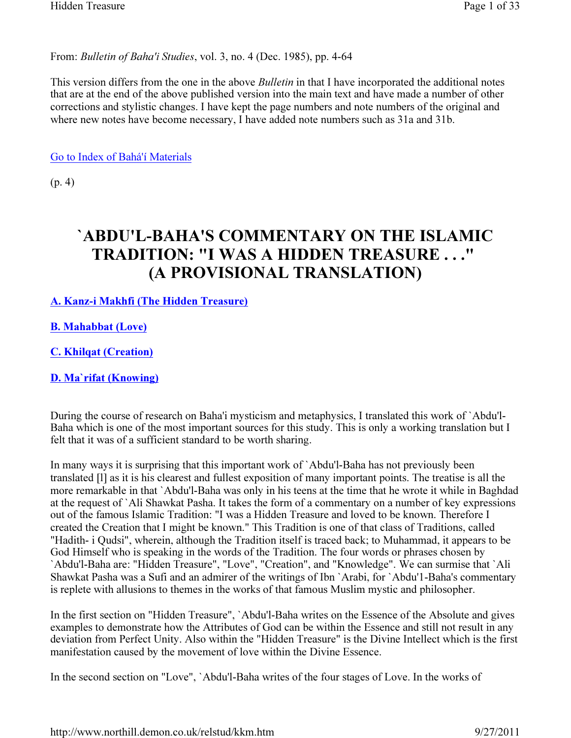From: Bulletin of Baha'i Studies, vol. 3, no. 4 (Dec. 1985), pp. 4-64

This version differs from the one in the above *Bulletin* in that I have incorporated the additional notes that are at the end of the above published version into the main text and have made a number of other corrections and stylistic changes. I have kept the page numbers and note numbers of the original and where new notes have become necessary, I have added note numbers such as 31a and 31b.

Go to Index of Bahá'í Materials

(p. 4)

# `ABDU'L-BAHA'S COMMENTARY ON THE ISLAMIC TRADITION: "I WAS A HIDDEN TREASURE . . ." (A PROVISIONAL TRANSLATION)

A. Kanz-i Makhfi (The Hidden Treasure)

B. Mahabbat (Love)

C. Khilqat (Creation)

D. Ma`rifat (Knowing)

During the course of research on Baha'i mysticism and metaphysics, I translated this work of `Abdu'l-Baha which is one of the most important sources for this study. This is only a working translation but I felt that it was of a sufficient standard to be worth sharing.

In many ways it is surprising that this important work of `Abdu'l-Baha has not previously been translated [l] as it is his clearest and fullest exposition of many important points. The treatise is all the more remarkable in that `Abdu'l-Baha was only in his teens at the time that he wrote it while in Baghdad at the request of `Ali Shawkat Pasha. It takes the form of a commentary on a number of key expressions out of the famous Islamic Tradition: "I was a Hidden Treasure and loved to be known. Therefore I created the Creation that I might be known." This Tradition is one of that class of Traditions, called "Hadith- i Qudsi", wherein, although the Tradition itself is traced back; to Muhammad, it appears to be God Himself who is speaking in the words of the Tradition. The four words or phrases chosen by `Abdu'l-Baha are: "Hidden Treasure", "Love", "Creation", and "Knowledge". We can surmise that `Ali Shawkat Pasha was a Sufi and an admirer of the writings of Ibn `Arabi, for `Abdu'1-Baha's commentary is replete with allusions to themes in the works of that famous Muslim mystic and philosopher.

In the first section on "Hidden Treasure", `Abdu'l-Baha writes on the Essence of the Absolute and gives examples to demonstrate how the Attributes of God can be within the Essence and still not result in any deviation from Perfect Unity. Also within the "Hidden Treasure" is the Divine Intellect which is the first manifestation caused by the movement of love within the Divine Essence.

In the second section on "Love", `Abdu'l-Baha writes of the four stages of Love. In the works of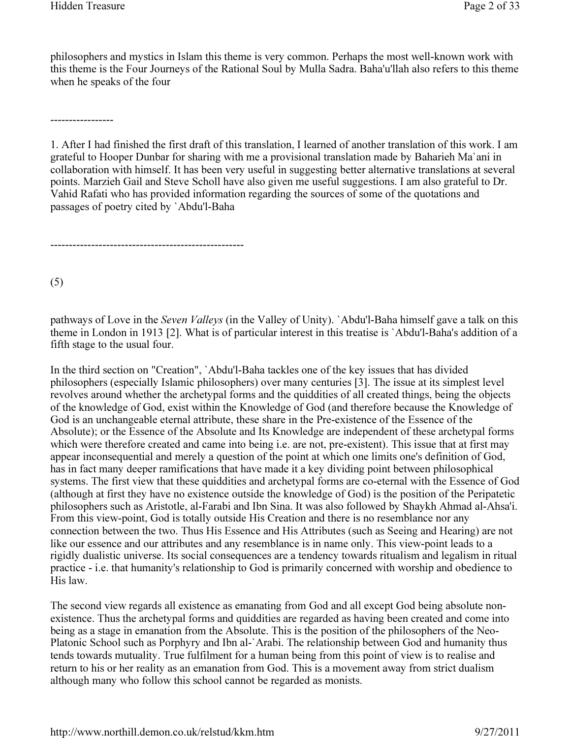philosophers and mystics in Islam this theme is very common. Perhaps the most well-known work with this theme is the Four Journeys of the Rational Soul by Mulla Sadra. Baha'u'llah also refers to this theme when he speaks of the four

-----------------

----------------------------------------------------

1. After I had finished the first draft of this translation, I learned of another translation of this work. I am grateful to Hooper Dunbar for sharing with me a provisional translation made by Baharieh Ma`ani in collaboration with himself. It has been very useful in suggesting better alternative translations at several points. Marzieh Gail and Steve Scholl have also given me useful suggestions. I am also grateful to Dr. Vahid Rafati who has provided information regarding the sources of some of the quotations and passages of poetry cited by `Abdu'l-Baha

(5)

pathways of Love in the Seven Valleys (in the Valley of Unity). `Abdu'l-Baha himself gave a talk on this theme in London in 1913 [2]. What is of particular interest in this treatise is `Abdu'l-Baha's addition of a fifth stage to the usual four.

In the third section on "Creation", `Abdu'l-Baha tackles one of the key issues that has divided philosophers (especially Islamic philosophers) over many centuries [3]. The issue at its simplest level revolves around whether the archetypal forms and the quiddities of all created things, being the objects of the knowledge of God, exist within the Knowledge of God (and therefore because the Knowledge of God is an unchangeable eternal attribute, these share in the Pre-existence of the Essence of the Absolute); or the Essence of the Absolute and Its Knowledge are independent of these archetypal forms which were therefore created and came into being i.e. are not, pre-existent). This issue that at first may appear inconsequential and merely a question of the point at which one limits one's definition of God, has in fact many deeper ramifications that have made it a key dividing point between philosophical systems. The first view that these quiddities and archetypal forms are co-eternal with the Essence of God (although at first they have no existence outside the knowledge of God) is the position of the Peripatetic philosophers such as Aristotle, al-Farabi and Ibn Sina. It was also followed by Shaykh Ahmad al-Ahsa'i. From this view-point, God is totally outside His Creation and there is no resemblance nor any connection between the two. Thus His Essence and His Attributes (such as Seeing and Hearing) are not like our essence and our attributes and any resemblance is in name only. This view-point leads to a rigidly dualistic universe. Its social consequences are a tendency towards ritualism and legalism in ritual practice - i.e. that humanity's relationship to God is primarily concerned with worship and obedience to His law.

The second view regards all existence as emanating from God and all except God being absolute nonexistence. Thus the archetypal forms and quiddities are regarded as having been created and come into being as a stage in emanation from the Absolute. This is the position of the philosophers of the Neo-Platonic School such as Porphyry and Ibn al-`Arabi. The relationship between God and humanity thus tends towards mutuality. True fulfilment for a human being from this point of view is to realise and return to his or her reality as an emanation from God. This is a movement away from strict dualism although many who follow this school cannot be regarded as monists.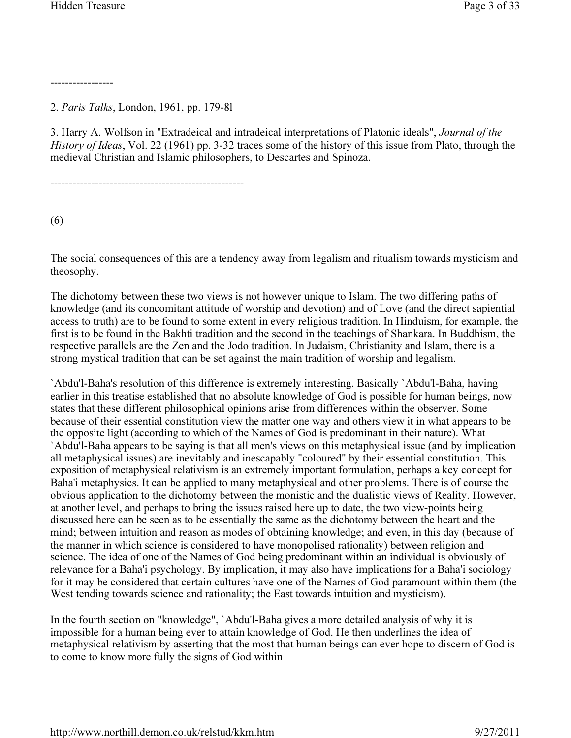-----------------

2. Paris Talks, London, 1961, pp. 179-8l

3. Harry A. Wolfson in "Extradeical and intradeical interpretations of Platonic ideals", Journal of the History of Ideas, Vol. 22 (1961) pp. 3-32 traces some of the history of this issue from Plato, through the medieval Christian and Islamic philosophers, to Descartes and Spinoza.

----------------------------------------------------

(6)

The social consequences of this are a tendency away from legalism and ritualism towards mysticism and theosophy.

The dichotomy between these two views is not however unique to Islam. The two differing paths of knowledge (and its concomitant attitude of worship and devotion) and of Love (and the direct sapiential access to truth) are to be found to some extent in every religious tradition. In Hinduism, for example, the first is to be found in the Bakhti tradition and the second in the teachings of Shankara. In Buddhism, the respective parallels are the Zen and the Jodo tradition. In Judaism, Christianity and Islam, there is a strong mystical tradition that can be set against the main tradition of worship and legalism.

`Abdu'l-Baha's resolution of this difference is extremely interesting. Basically `Abdu'l-Baha, having earlier in this treatise established that no absolute knowledge of God is possible for human beings, now states that these different philosophical opinions arise from differences within the observer. Some because of their essential constitution view the matter one way and others view it in what appears to be the opposite light (according to which of the Names of God is predominant in their nature). What `Abdu'l-Baha appears to be saying is that all men's views on this metaphysical issue (and by implication all metaphysical issues) are inevitably and inescapably "coloured" by their essential constitution. This exposition of metaphysical relativism is an extremely important formulation, perhaps a key concept for Baha'i metaphysics. It can be applied to many metaphysical and other problems. There is of course the obvious application to the dichotomy between the monistic and the dualistic views of Reality. However, at another level, and perhaps to bring the issues raised here up to date, the two view-points being discussed here can be seen as to be essentially the same as the dichotomy between the heart and the mind; between intuition and reason as modes of obtaining knowledge; and even, in this day (because of the manner in which science is considered to have monopolised rationality) between religion and science. The idea of one of the Names of God being predominant within an individual is obviously of relevance for a Baha'i psychology. By implication, it may also have implications for a Baha'i sociology for it may be considered that certain cultures have one of the Names of God paramount within them (the West tending towards science and rationality; the East towards intuition and mysticism).

In the fourth section on "knowledge", `Abdu'l-Baha gives a more detailed analysis of why it is impossible for a human being ever to attain knowledge of God. He then underlines the idea of metaphysical relativism by asserting that the most that human beings can ever hope to discern of God is to come to know more fully the signs of God within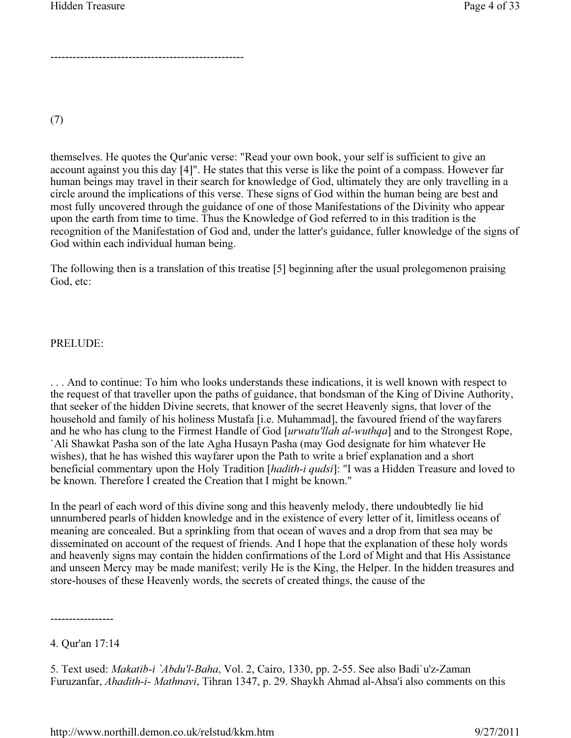----------------------------------------------------

(7)

themselves. He quotes the Qur'anic verse: "Read your own book, your self is sufficient to give an account against you this day [4]". He states that this verse is like the point of a compass. However far human beings may travel in their search for knowledge of God, ultimately they are only travelling in a circle around the implications of this verse. These signs of God within the human being are best and most fully uncovered through the guidance of one of those Manifestations of the Divinity who appear upon the earth from time to time. Thus the Knowledge of God referred to in this tradition is the recognition of the Manifestation of God and, under the latter's guidance, fuller knowledge of the signs of God within each individual human being.

The following then is a translation of this treatise [5] beginning after the usual prolegomenon praising God, etc:

#### PRELUDE:

. . . And to continue: To him who looks understands these indications, it is well known with respect to the request of that traveller upon the paths of guidance, that bondsman of the King of Divine Authority, that seeker of the hidden Divine secrets, that knower of the secret Heavenly signs, that lover of the household and family of his holiness Mustafa [i.e. Muhammad], the favoured friend of the wayfarers and he who has clung to the Firmest Handle of God [urwatu'llah al-wuthqa] and to the Strongest Rope, `Ali Shawkat Pasha son of the late Agha Husayn Pasha (may God designate for him whatever He wishes), that he has wished this wayfarer upon the Path to write a brief explanation and a short beneficial commentary upon the Holy Tradition [hadith-i qudsi]: "I was a Hidden Treasure and loved to be known. Therefore I created the Creation that I might be known."

In the pearl of each word of this divine song and this heavenly melody, there undoubtedly lie hid unnumbered pearls of hidden knowledge and in the existence of every letter of it, limitless oceans of meaning are concealed. But a sprinkling from that ocean of waves and a drop from that sea may be disseminated on account of the request of friends. And I hope that the explanation of these holy words and heavenly signs may contain the hidden confirmations of the Lord of Might and that His Assistance and unseen Mercy may be made manifest; verily He is the King, the Helper. In the hidden treasures and store-houses of these Heavenly words, the secrets of created things, the cause of the

<sup>4.</sup> Qur'an 17:14

<sup>5.</sup> Text used: Makatib-i `Abdu'l-Baha, Vol. 2, Cairo, 1330, pp. 2-55. See also Badi`u'z-Zaman Furuzanfar, Ahadith-i- Mathnavi, Tihran 1347, p. 29. Shaykh Ahmad al-Ahsa'i also comments on this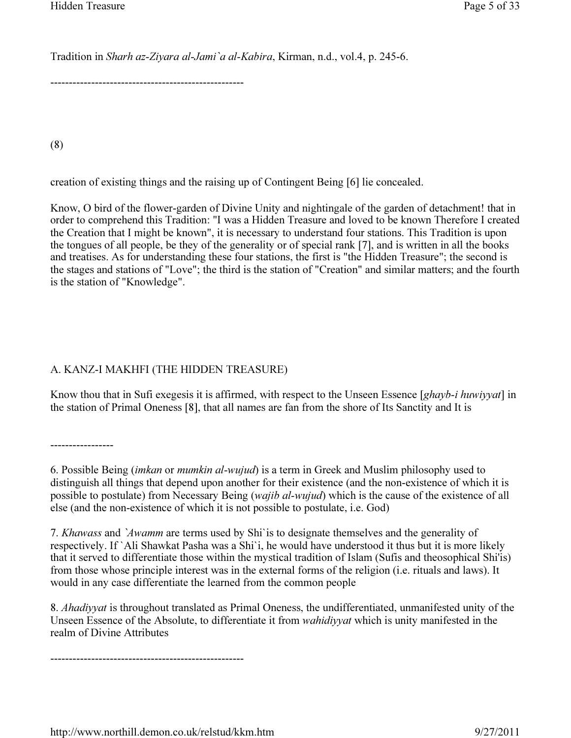Tradition in Sharh az-Ziyara al-Jami`a al-Kabira, Kirman, n.d., vol.4, p. 245-6.

----------------------------------------------------

(8)

creation of existing things and the raising up of Contingent Being [6] lie concealed.

Know, O bird of the flower-garden of Divine Unity and nightingale of the garden of detachment! that in order to comprehend this Tradition: "I was a Hidden Treasure and loved to be known Therefore I created the Creation that I might be known", it is necessary to understand four stations. This Tradition is upon the tongues of all people, be they of the generality or of special rank [7], and is written in all the books and treatises. As for understanding these four stations, the first is "the Hidden Treasure"; the second is the stages and stations of "Love"; the third is the station of "Creation" and similar matters; and the fourth is the station of "Knowledge".

### A. KANZ-I MAKHFI (THE HIDDEN TREASURE)

Know thou that in Sufi exegesis it is affirmed, with respect to the Unseen Essence [ghayb-i huwiyyat] in the station of Primal Oneness [8], that all names are fan from the shore of Its Sanctity and It is

-----------------

6. Possible Being (imkan or mumkin al-wujud) is a term in Greek and Muslim philosophy used to distinguish all things that depend upon another for their existence (and the non-existence of which it is possible to postulate) from Necessary Being (wajib al-wujud) which is the cause of the existence of all else (and the non-existence of which it is not possible to postulate, i.e. God)

7. Khawass and `Awamm are terms used by Shi`is to designate themselves and the generality of respectively. If `Ali Shawkat Pasha was a Shi`i, he would have understood it thus but it is more likely that it served to differentiate those within the mystical tradition of Islam (Sufis and theosophical Shi'is) from those whose principle interest was in the external forms of the religion (i.e. rituals and laws). It would in any case differentiate the learned from the common people

8. Ahadiyyat is throughout translated as Primal Oneness, the undifferentiated, unmanifested unity of the Unseen Essence of the Absolute, to differentiate it from wahidiyyat which is unity manifested in the realm of Divine Attributes

----------------------------------------------------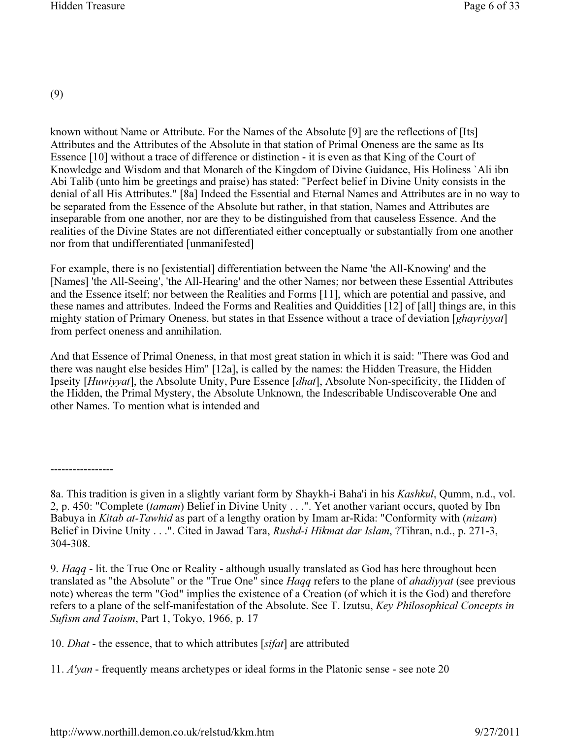(9)

known without Name or Attribute. For the Names of the Absolute [9] are the reflections of [Its] Attributes and the Attributes of the Absolute in that station of Primal Oneness are the same as Its Essence [10] without a trace of difference or distinction - it is even as that King of the Court of Knowledge and Wisdom and that Monarch of the Kingdom of Divine Guidance, His Holiness `Ali ibn Abi Talib (unto him be greetings and praise) has stated: "Perfect belief in Divine Unity consists in the denial of all His Attributes." [8a] Indeed the Essential and Eternal Names and Attributes are in no way to be separated from the Essence of the Absolute but rather, in that station, Names and Attributes are inseparable from one another, nor are they to be distinguished from that causeless Essence. And the realities of the Divine States are not differentiated either conceptually or substantially from one another nor from that undifferentiated [unmanifested]

For example, there is no [existential] differentiation between the Name 'the All-Knowing' and the [Names] 'the All-Seeing', 'the All-Hearing' and the other Names; nor between these Essential Attributes and the Essence itself; nor between the Realities and Forms [11], which are potential and passive, and these names and attributes. Indeed the Forms and Realities and Quiddities [12] of [all] things are, in this mighty station of Primary Oneness, but states in that Essence without a trace of deviation [ghayriyyat] from perfect oneness and annihilation.

And that Essence of Primal Oneness, in that most great station in which it is said: "There was God and there was naught else besides Him" [12a], is called by the names: the Hidden Treasure, the Hidden Ipseity [Huwiyyat], the Absolute Unity, Pure Essence [dhat], Absolute Non-specificity, the Hidden of the Hidden, the Primal Mystery, the Absolute Unknown, the Indescribable Undiscoverable One and other Names. To mention what is intended and

<sup>-----------------</sup>

<sup>8</sup>a. This tradition is given in a slightly variant form by Shaykh-i Baha'i in his Kashkul, Qumm, n.d., vol. 2, p. 450: "Complete (tamam) Belief in Divine Unity . . .". Yet another variant occurs, quoted by Ibn Babuya in *Kitab at-Tawhid* as part of a lengthy oration by Imam ar-Rida: "Conformity with *(nizam)* Belief in Divine Unity . . .". Cited in Jawad Tara, Rushd-i Hikmat dar Islam, ?Tihran, n.d., p. 271-3, 304-308.

<sup>9.</sup> Haqq - lit. the True One or Reality - although usually translated as God has here throughout been translated as "the Absolute" or the "True One" since *Haqq* refers to the plane of *ahadiyyat* (see previous note) whereas the term "God" implies the existence of a Creation (of which it is the God) and therefore refers to a plane of the self-manifestation of the Absolute. See T. Izutsu, Key Philosophical Concepts in Sufism and Taoism, Part 1, Tokyo, 1966, p. 17

<sup>10.</sup> Dhat - the essence, that to which attributes [sifat] are attributed

<sup>11.</sup> A'yan - frequently means archetypes or ideal forms in the Platonic sense - see note 20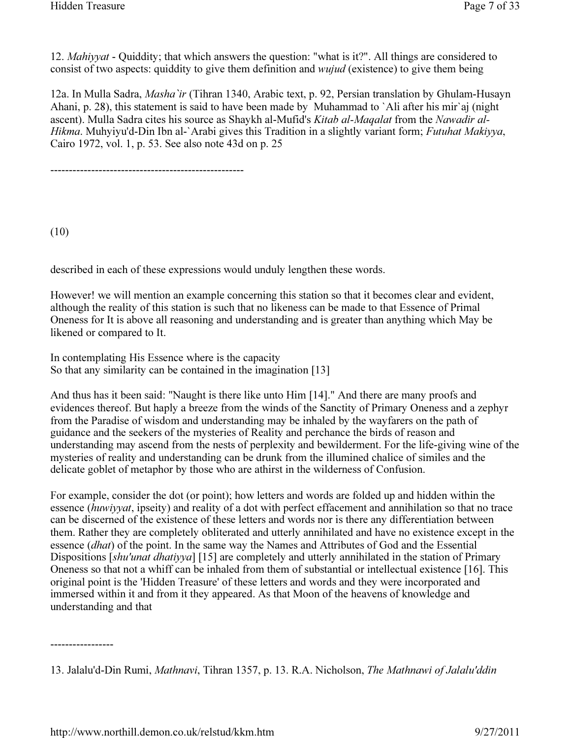12. Mahiyyat - Quiddity; that which answers the question: "what is it?". All things are considered to consist of two aspects: quiddity to give them definition and wujud (existence) to give them being

12a. In Mulla Sadra, Masha`ir (Tihran 1340, Arabic text, p. 92, Persian translation by Ghulam-Husayn Ahani, p. 28), this statement is said to have been made by Muhammad to `Ali after his mir`aj (night ascent). Mulla Sadra cites his source as Shaykh al-Mufid's Kitab al-Maqalat from the Nawadir al-Hikma. Muhyiyu'd-Din Ibn al-`Arabi gives this Tradition in a slightly variant form; Futuhat Makiyya, Cairo 1972, vol. 1, p. 53. See also note 43d on p. 25

----------------------------------------------------

(10)

described in each of these expressions would unduly lengthen these words.

However! we will mention an example concerning this station so that it becomes clear and evident, although the reality of this station is such that no likeness can be made to that Essence of Primal Oneness for It is above all reasoning and understanding and is greater than anything which May be likened or compared to It.

In contemplating His Essence where is the capacity So that any similarity can be contained in the imagination [13]

And thus has it been said: "Naught is there like unto Him [14]." And there are many proofs and evidences thereof. But haply a breeze from the winds of the Sanctity of Primary Oneness and a zephyr from the Paradise of wisdom and understanding may be inhaled by the wayfarers on the path of guidance and the seekers of the mysteries of Reality and perchance the birds of reason and understanding may ascend from the nests of perplexity and bewilderment. For the life-giving wine of the mysteries of reality and understanding can be drunk from the illumined chalice of similes and the delicate goblet of metaphor by those who are athirst in the wilderness of Confusion.

For example, consider the dot (or point); how letters and words are folded up and hidden within the essence (huwiyyat, ipseity) and reality of a dot with perfect effacement and annihilation so that no trace can be discerned of the existence of these letters and words nor is there any differentiation between them. Rather they are completely obliterated and utterly annihilated and have no existence except in the essence (dhat) of the point. In the same way the Names and Attributes of God and the Essential Dispositions [shu'unat dhatiyya] [15] are completely and utterly annihilated in the station of Primary Oneness so that not a whiff can be inhaled from them of substantial or intellectual existence [16]. This original point is the 'Hidden Treasure' of these letters and words and they were incorporated and immersed within it and from it they appeared. As that Moon of the heavens of knowledge and understanding and that

<sup>13.</sup> Jalalu'd-Din Rumi, Mathnavi, Tihran 1357, p. 13. R.A. Nicholson, The Mathnawi of Jalalu'ddin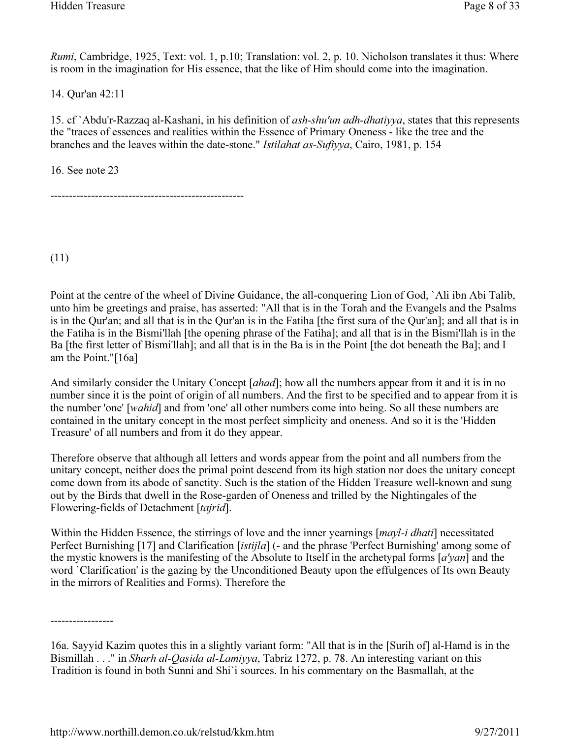Rumi, Cambridge, 1925, Text: vol. 1, p.10; Translation: vol. 2, p. 10. Nicholson translates it thus: Where is room in the imagination for His essence, that the like of Him should come into the imagination.

14. Qur'an 42:11

15. cf `Abdu'r-Razzaq al-Kashani, in his definition of ash-shu'un adh-dhatiyya, states that this represents the "traces of essences and realities within the Essence of Primary Oneness - like the tree and the branches and the leaves within the date-stone." Istilahat as-Sufiyya, Cairo, 1981, p. 154

16. See note 23

----------------------------------------------------

(11)

Point at the centre of the wheel of Divine Guidance, the all-conquering Lion of God, `Ali ibn Abi Talib, unto him be greetings and praise, has asserted: "All that is in the Torah and the Evangels and the Psalms is in the Qur'an; and all that is in the Qur'an is in the Fatiha [the first sura of the Qur'an]; and all that is in the Fatiha is in the Bismi'llah [the opening phrase of the Fatiha]; and all that is in the Bismi'llah is in the Ba [the first letter of Bismi'llah]; and all that is in the Ba is in the Point [the dot beneath the Ba]; and I am the Point."[16a]

And similarly consider the Unitary Concept [ahad]; how all the numbers appear from it and it is in no number since it is the point of origin of all numbers. And the first to be specified and to appear from it is the number 'one' [wahid] and from 'one' all other numbers come into being. So all these numbers are contained in the unitary concept in the most perfect simplicity and oneness. And so it is the 'Hidden Treasure' of all numbers and from it do they appear.

Therefore observe that although all letters and words appear from the point and all numbers from the unitary concept, neither does the primal point descend from its high station nor does the unitary concept come down from its abode of sanctity. Such is the station of the Hidden Treasure well-known and sung out by the Birds that dwell in the Rose-garden of Oneness and trilled by the Nightingales of the Flowering-fields of Detachment [tajrid].

Within the Hidden Essence, the stirrings of love and the inner yearnings [*mayl-i dhati*] necessitated Perfect Burnishing [17] and Clarification [istijla] (- and the phrase 'Perfect Burnishing' among some of the mystic knowers is the manifesting of the Absolute to Itself in the archetypal forms [a'yan] and the word `Clarification' is the gazing by the Unconditioned Beauty upon the effulgences of Its own Beauty in the mirrors of Realities and Forms). Therefore the

<sup>16</sup>a. Sayyid Kazim quotes this in a slightly variant form: "All that is in the [Surih of] al-Hamd is in the Bismillah . . ." in Sharh al-Qasida al-Lamiyya, Tabriz 1272, p. 78. An interesting variant on this Tradition is found in both Sunni and Shi`i sources. In his commentary on the Basmallah, at the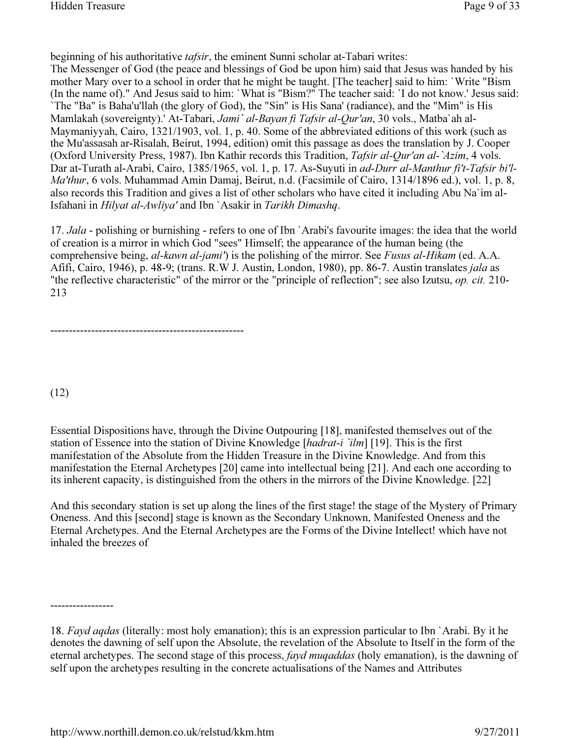beginning of his authoritative *tafsir*, the eminent Sunni scholar at-Tabari writes:

The Messenger of God (the peace and blessings of God be upon him) said that Jesus was handed by his mother Mary over to a school in order that he might be taught. [The teacher] said to him: `Write "Bism (In the name of)." And Jesus said to him: `What is "Bism?" The teacher said: `I do not know.' Jesus said: `The "Ba" is Baha'u'llah (the glory of God), the "Sin" is His Sana' (radiance), and the "Mim" is His Mamlakah (sovereignty).' At-Tabari, Jami` al-Bayan fi Tafsir al-Qur'an, 30 vols., Matba`ah al-Maymaniyyah, Cairo, 1321/1903, vol. 1, p. 40. Some of the abbreviated editions of this work (such as the Mu'assasah ar-Risalah, Beirut, 1994, edition) omit this passage as does the translation by J. Cooper (Oxford University Press, 1987). Ibn Kathir records this Tradition, Tafsir al-Our'an al-`Azim, 4 vols. Dar at-Turath al-Arabi, Cairo, 1385/1965, vol. 1, p. 17. As-Suyuti in ad-Durr al-Manthur fi't-Tafsir bi'l-Ma'thur, 6 vols. Muhammad Amin Damaj, Beirut, n.d. (Facsimile of Cairo, 1314/1896 ed.), vol. 1, p. 8, also records this Tradition and gives a list of other scholars who have cited it including Abu Na`im al-Isfahani in Hilyat al-Awliya' and Ibn `Asakir in Tarikh Dimashq.

17. Jala - polishing or burnishing - refers to one of Ibn `Arabi's favourite images: the idea that the world of creation is a mirror in which God "sees" Himself; the appearance of the human being (the comprehensive being, al-kawn al-jami') is the polishing of the mirror. See Fusus al-Hikam (ed. A.A. Afifi, Cairo, 1946), p. 48-9; (trans. R.W J. Austin, London, 1980), pp. 86-7. Austin translates jala as "the reflective characteristic" of the mirror or the "principle of reflection"; see also Izutsu, op. cit. 210- 213

----------------------------------------------------

(12)

Essential Dispositions have, through the Divine Outpouring [18], manifested themselves out of the station of Essence into the station of Divine Knowledge [hadrat-i 'ilm] [19]. This is the first manifestation of the Absolute from the Hidden Treasure in the Divine Knowledge. And from this manifestation the Eternal Archetypes [20] came into intellectual being [21]. And each one according to its inherent capacity, is distinguished from the others in the mirrors of the Divine Knowledge. [22]

And this secondary station is set up along the lines of the first stage! the stage of the Mystery of Primary Oneness. And this [second] stage is known as the Secondary Unknown, Manifested Oneness and the Eternal Archetypes. And the Eternal Archetypes are the Forms of the Divine Intellect! which have not inhaled the breezes of

<sup>18.</sup> Fayd agdas (literally: most holy emanation); this is an expression particular to Ibn `Arabi. By it he denotes the dawning of self upon the Absolute, the revelation of the Absolute to Itself in the form of the eternal archetypes. The second stage of this process, fayd muqaddas (holy emanation), is the dawning of self upon the archetypes resulting in the concrete actualisations of the Names and Attributes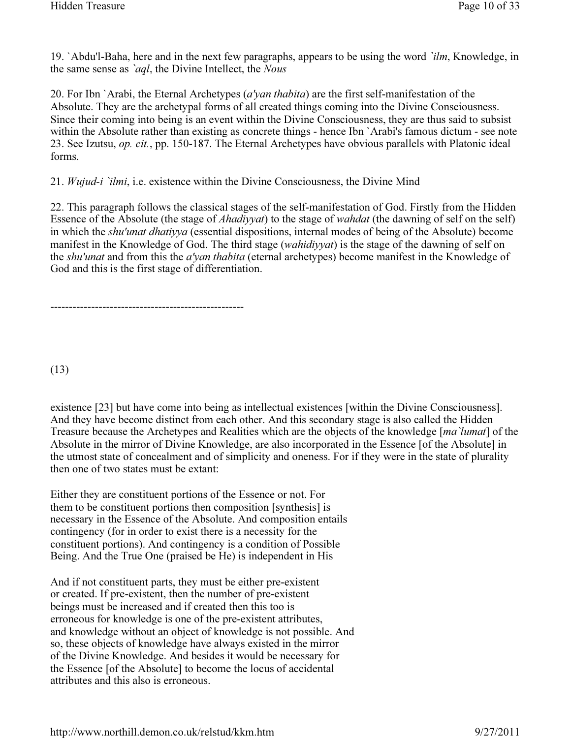19. `Abdu'l-Baha, here and in the next few paragraphs, appears to be using the word `ilm, Knowledge, in the same sense as *`aql*, the Divine Intellect, the *Nous* 

20. For Ibn `Arabi, the Eternal Archetypes (a'van thabita) are the first self-manifestation of the Absolute. They are the archetypal forms of all created things coming into the Divine Consciousness. Since their coming into being is an event within the Divine Consciousness, they are thus said to subsist within the Absolute rather than existing as concrete things - hence Ibn `Arabi's famous dictum - see note 23. See Izutsu, op. cit., pp. 150-187. The Eternal Archetypes have obvious parallels with Platonic ideal forms.

21. Wujud-i `ilmi, i.e. existence within the Divine Consciousness, the Divine Mind

22. This paragraph follows the classical stages of the self-manifestation of God. Firstly from the Hidden Essence of the Absolute (the stage of *Ahadiyyat*) to the stage of *wahdat* (the dawning of self on the self) in which the shu'unat dhatiyya (essential dispositions, internal modes of being of the Absolute) become manifest in the Knowledge of God. The third stage (*wahidiyyat*) is the stage of the dawning of self on the shu'unat and from this the a'yan thabita (eternal archetypes) become manifest in the Knowledge of God and this is the first stage of differentiation.

----------------------------------------------------

(13)

existence [23] but have come into being as intellectual existences [within the Divine Consciousness]. And they have become distinct from each other. And this secondary stage is also called the Hidden Treasure because the Archetypes and Realities which are the objects of the knowledge [ma`lumat] of the Absolute in the mirror of Divine Knowledge, are also incorporated in the Essence [of the Absolute] in the utmost state of concealment and of simplicity and oneness. For if they were in the state of plurality then one of two states must be extant:

Either they are constituent portions of the Essence or not. For them to be constituent portions then composition [synthesis] is necessary in the Essence of the Absolute. And composition entails contingency (for in order to exist there is a necessity for the constituent portions). And contingency is a condition of Possible Being. And the True One (praised be He) is independent in His

And if not constituent parts, they must be either pre-existent or created. If pre-existent, then the number of pre-existent beings must be increased and if created then this too is erroneous for knowledge is one of the pre-existent attributes, and knowledge without an object of knowledge is not possible. And so, these objects of knowledge have always existed in the mirror of the Divine Knowledge. And besides it would be necessary for the Essence [of the Absolute] to become the locus of accidental attributes and this also is erroneous.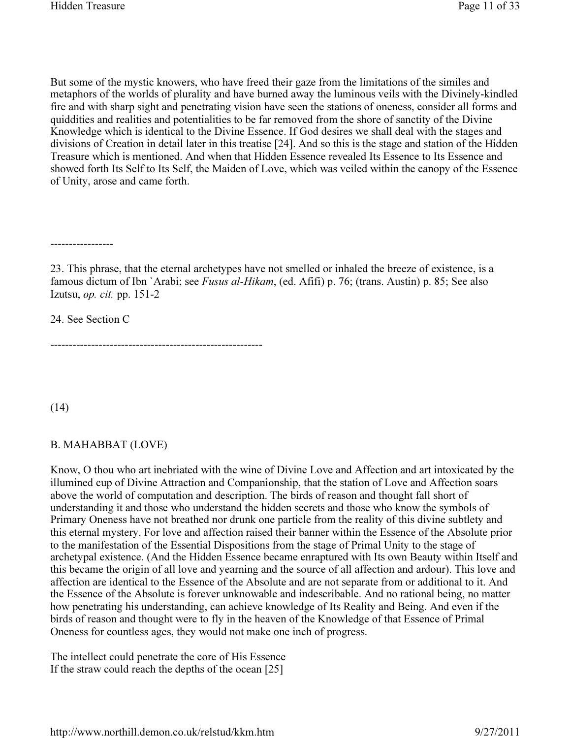But some of the mystic knowers, who have freed their gaze from the limitations of the similes and metaphors of the worlds of plurality and have burned away the luminous veils with the Divinely-kindled fire and with sharp sight and penetrating vision have seen the stations of oneness, consider all forms and quiddities and realities and potentialities to be far removed from the shore of sanctity of the Divine Knowledge which is identical to the Divine Essence. If God desires we shall deal with the stages and divisions of Creation in detail later in this treatise [24]. And so this is the stage and station of the Hidden Treasure which is mentioned. And when that Hidden Essence revealed Its Essence to Its Essence and showed forth Its Self to Its Self, the Maiden of Love, which was veiled within the canopy of the Essence of Unity, arose and came forth.

-----------------

23. This phrase, that the eternal archetypes have not smelled or inhaled the breeze of existence, is a famous dictum of Ibn `Arabi; see *Fusus al-Hikam*, (ed. Afifi) p. 76; (trans. Austin) p. 85; See also Izutsu, op. cit. pp. 151-2

24. See Section C

---------------------------------------------------------

(14)

#### B. MAHABBAT (LOVE)

Know, O thou who art inebriated with the wine of Divine Love and Affection and art intoxicated by the illumined cup of Divine Attraction and Companionship, that the station of Love and Affection soars above the world of computation and description. The birds of reason and thought fall short of understanding it and those who understand the hidden secrets and those who know the symbols of Primary Oneness have not breathed nor drunk one particle from the reality of this divine subtlety and this eternal mystery. For love and affection raised their banner within the Essence of the Absolute prior to the manifestation of the Essential Dispositions from the stage of Primal Unity to the stage of archetypal existence. (And the Hidden Essence became enraptured with Its own Beauty within Itself and this became the origin of all love and yearning and the source of all affection and ardour). This love and affection are identical to the Essence of the Absolute and are not separate from or additional to it. And the Essence of the Absolute is forever unknowable and indescribable. And no rational being, no matter how penetrating his understanding, can achieve knowledge of Its Reality and Being. And even if the birds of reason and thought were to fly in the heaven of the Knowledge of that Essence of Primal Oneness for countless ages, they would not make one inch of progress.

The intellect could penetrate the core of His Essence If the straw could reach the depths of the ocean [25]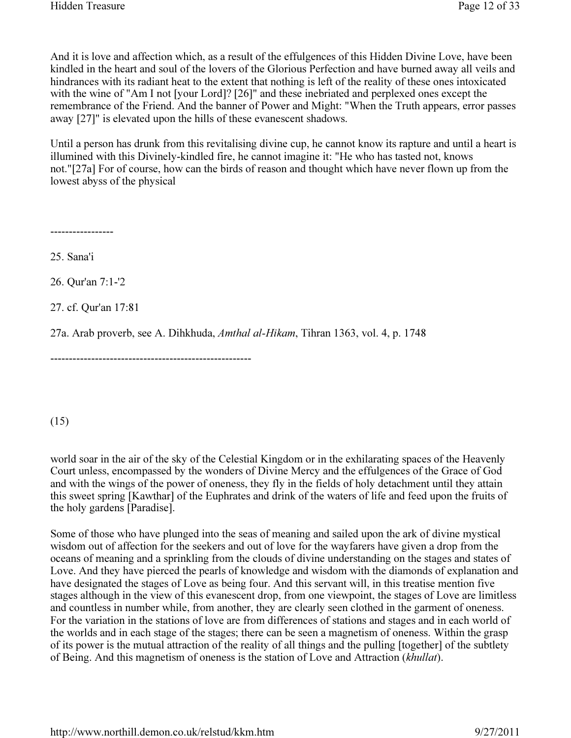And it is love and affection which, as a result of the effulgences of this Hidden Divine Love, have been kindled in the heart and soul of the lovers of the Glorious Perfection and have burned away all veils and hindrances with its radiant heat to the extent that nothing is left of the reality of these ones intoxicated with the wine of "Am I not [your Lord]? [26]" and these inebriated and perplexed ones except the remembrance of the Friend. And the banner of Power and Might: "When the Truth appears, error passes away [27]" is elevated upon the hills of these evanescent shadows.

Until a person has drunk from this revitalising divine cup, he cannot know its rapture and until a heart is illumined with this Divinely-kindled fire, he cannot imagine it: "He who has tasted not, knows not."[27a] For of course, how can the birds of reason and thought which have never flown up from the lowest abyss of the physical

-----------------

25. Sana'i

26. Qur'an 7:1-'2

27. cf. Qur'an 17:81

27a. Arab proverb, see A. Dihkhuda, Amthal al-Hikam, Tihran 1363, vol. 4, p. 1748

------------------------------------------------------

(15)

world soar in the air of the sky of the Celestial Kingdom or in the exhilarating spaces of the Heavenly Court unless, encompassed by the wonders of Divine Mercy and the effulgences of the Grace of God and with the wings of the power of oneness, they fly in the fields of holy detachment until they attain this sweet spring [Kawthar] of the Euphrates and drink of the waters of life and feed upon the fruits of the holy gardens [Paradise].

Some of those who have plunged into the seas of meaning and sailed upon the ark of divine mystical wisdom out of affection for the seekers and out of love for the wayfarers have given a drop from the oceans of meaning and a sprinkling from the clouds of divine understanding on the stages and states of Love. And they have pierced the pearls of knowledge and wisdom with the diamonds of explanation and have designated the stages of Love as being four. And this servant will, in this treatise mention five stages although in the view of this evanescent drop, from one viewpoint, the stages of Love are limitless and countless in number while, from another, they are clearly seen clothed in the garment of oneness. For the variation in the stations of love are from differences of stations and stages and in each world of the worlds and in each stage of the stages; there can be seen a magnetism of oneness. Within the grasp of its power is the mutual attraction of the reality of all things and the pulling [together] of the subtlety of Being. And this magnetism of oneness is the station of Love and Attraction (khullat).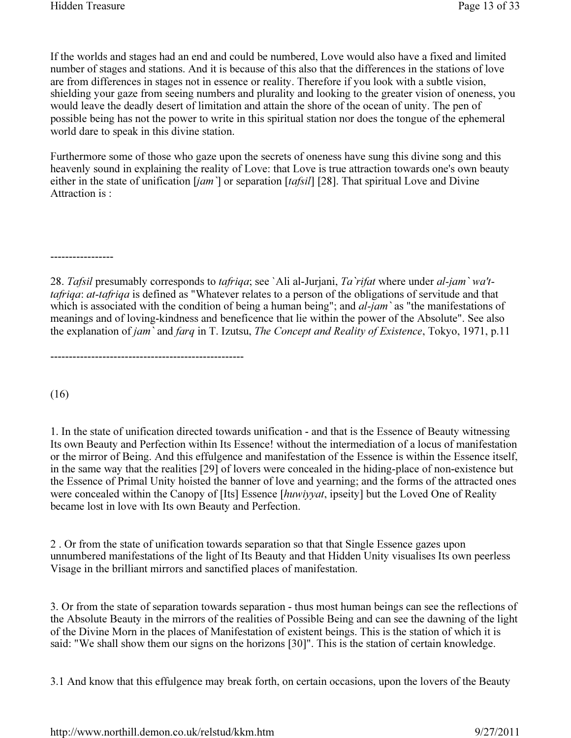If the worlds and stages had an end and could be numbered, Love would also have a fixed and limited number of stages and stations. And it is because of this also that the differences in the stations of love are from differences in stages not in essence or reality. Therefore if you look with a subtle vision, shielding your gaze from seeing numbers and plurality and looking to the greater vision of oneness, you would leave the deadly desert of limitation and attain the shore of the ocean of unity. The pen of possible being has not the power to write in this spiritual station nor does the tongue of the ephemeral world dare to speak in this divine station.

Furthermore some of those who gaze upon the secrets of oneness have sung this divine song and this heavenly sound in explaining the reality of Love: that Love is true attraction towards one's own beauty either in the state of unification  $[iam]$  or separation  $[tafsil]$  [28]. That spiritual Love and Divine Attraction is :

-----------------

28. Tafsil presumably corresponds to *tafriqa*; see `Ali al-Jurjani, Ta `rifat where under al-jam `wa'ttafriqa: at-tafriqa is defined as "Whatever relates to a person of the obligations of servitude and that which is associated with the condition of being a human being"; and *al-jam* `as "the manifestations of meanings and of loving-kindness and beneficence that lie within the power of the Absolute". See also the explanation of jam' and farq in T. Izutsu, The Concept and Reality of Existence, Tokyo, 1971, p.11

----------------------------------------------------

(16)

1. In the state of unification directed towards unification - and that is the Essence of Beauty witnessing Its own Beauty and Perfection within Its Essence! without the intermediation of a locus of manifestation or the mirror of Being. And this effulgence and manifestation of the Essence is within the Essence itself, in the same way that the realities [29] of lovers were concealed in the hiding-place of non-existence but the Essence of Primal Unity hoisted the banner of love and yearning; and the forms of the attracted ones were concealed within the Canopy of [Its] Essence [huwiyyat, ipseity] but the Loved One of Reality became lost in love with Its own Beauty and Perfection.

2 . Or from the state of unification towards separation so that that Single Essence gazes upon unnumbered manifestations of the light of Its Beauty and that Hidden Unity visualises Its own peerless Visage in the brilliant mirrors and sanctified places of manifestation.

3. Or from the state of separation towards separation - thus most human beings can see the reflections of the Absolute Beauty in the mirrors of the realities of Possible Being and can see the dawning of the light of the Divine Morn in the places of Manifestation of existent beings. This is the station of which it is said: "We shall show them our signs on the horizons [30]". This is the station of certain knowledge.

3.1 And know that this effulgence may break forth, on certain occasions, upon the lovers of the Beauty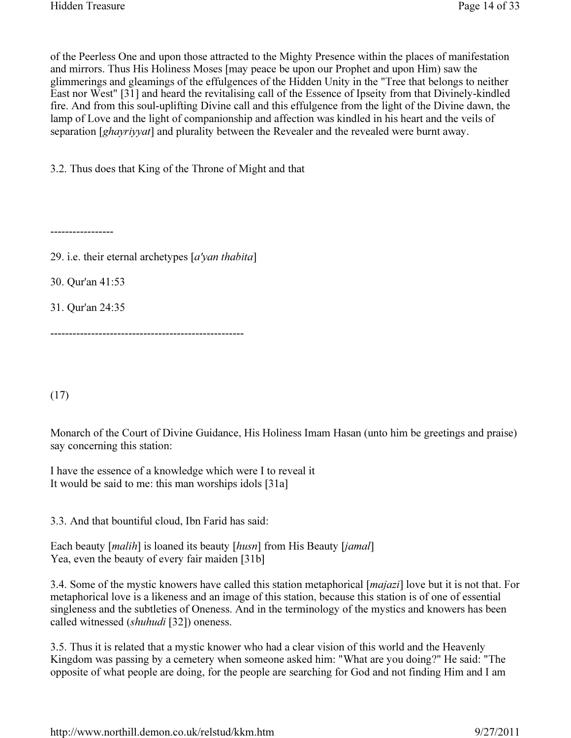of the Peerless One and upon those attracted to the Mighty Presence within the places of manifestation and mirrors. Thus His Holiness Moses [may peace be upon our Prophet and upon Him) saw the glimmerings and gleamings of the effulgences of the Hidden Unity in the "Tree that belongs to neither East nor West" [31] and heard the revitalising call of the Essence of Ipseity from that Divinely-kindled fire. And from this soul-uplifting Divine call and this effulgence from the light of the Divine dawn, the lamp of Love and the light of companionship and affection was kindled in his heart and the veils of separation [*ghayriyyat*] and plurality between the Revealer and the revealed were burnt away.

3.2. Thus does that King of the Throne of Might and that

-----------------

29. i.e. their eternal archetypes  $[a'$ *yan thabita*]

30. Qur'an 41:53

31. Qur'an 24:35

----------------------------------------------------

(17)

Monarch of the Court of Divine Guidance, His Holiness Imam Hasan (unto him be greetings and praise) say concerning this station:

I have the essence of a knowledge which were I to reveal it It would be said to me: this man worships idols [31a]

3.3. And that bountiful cloud, Ibn Farid has said:

Each beauty [malih] is loaned its beauty [husn] from His Beauty [jamal] Yea, even the beauty of every fair maiden [31b]

3.4. Some of the mystic knowers have called this station metaphorical [majazi] love but it is not that. For metaphorical love is a likeness and an image of this station, because this station is of one of essential singleness and the subtleties of Oneness. And in the terminology of the mystics and knowers has been called witnessed (shuhudi [32]) oneness.

3.5. Thus it is related that a mystic knower who had a clear vision of this world and the Heavenly Kingdom was passing by a cemetery when someone asked him: "What are you doing?" He said: "The opposite of what people are doing, for the people are searching for God and not finding Him and I am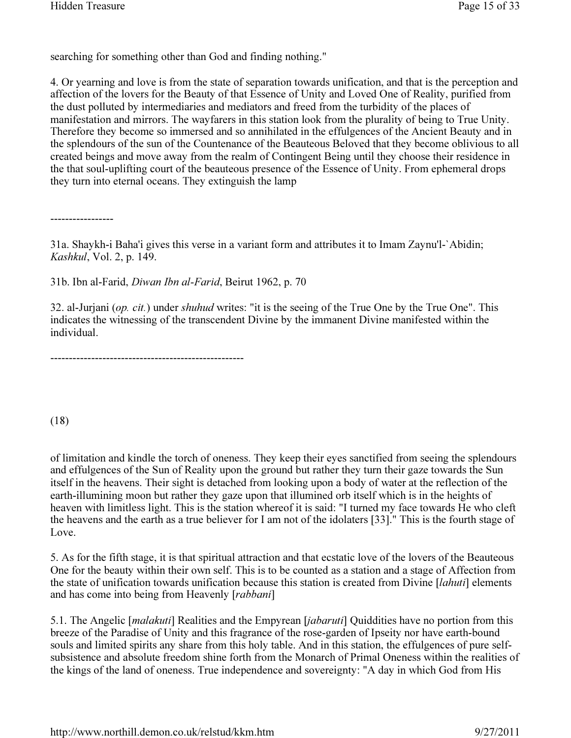searching for something other than God and finding nothing."

4. Or yearning and love is from the state of separation towards unification, and that is the perception and affection of the lovers for the Beauty of that Essence of Unity and Loved One of Reality, purified from the dust polluted by intermediaries and mediators and freed from the turbidity of the places of manifestation and mirrors. The wayfarers in this station look from the plurality of being to True Unity. Therefore they become so immersed and so annihilated in the effulgences of the Ancient Beauty and in the splendours of the sun of the Countenance of the Beauteous Beloved that they become oblivious to all created beings and move away from the realm of Contingent Being until they choose their residence in the that soul-uplifting court of the beauteous presence of the Essence of Unity. From ephemeral drops they turn into eternal oceans. They extinguish the lamp

-----------------

31a. Shaykh-i Baha'i gives this verse in a variant form and attributes it to Imam Zaynu'l-`Abidin; Kashkul, Vol. 2, p. 149.

31b. Ibn al-Farid, Diwan Ibn al-Farid, Beirut 1962, p. 70

32. al-Jurjani (op. cit.) under shuhud writes: "it is the seeing of the True One by the True One". This indicates the witnessing of the transcendent Divine by the immanent Divine manifested within the individual.

----------------------------------------------------

(18)

of limitation and kindle the torch of oneness. They keep their eyes sanctified from seeing the splendours and effulgences of the Sun of Reality upon the ground but rather they turn their gaze towards the Sun itself in the heavens. Their sight is detached from looking upon a body of water at the reflection of the earth-illumining moon but rather they gaze upon that illumined orb itself which is in the heights of heaven with limitless light. This is the station whereof it is said: "I turned my face towards He who cleft the heavens and the earth as a true believer for I am not of the idolaters [33]." This is the fourth stage of Love.

5. As for the fifth stage, it is that spiritual attraction and that ecstatic love of the lovers of the Beauteous One for the beauty within their own self. This is to be counted as a station and a stage of Affection from the state of unification towards unification because this station is created from Divine [*lahuti*] elements and has come into being from Heavenly [rabbani]

5.1. The Angelic [*malakuti*] Realities and the Empyrean [*jabaruti*] Quiddities have no portion from this breeze of the Paradise of Unity and this fragrance of the rose-garden of Ipseity nor have earth-bound souls and limited spirits any share from this holy table. And in this station, the effulgences of pure selfsubsistence and absolute freedom shine forth from the Monarch of Primal Oneness within the realities of the kings of the land of oneness. True independence and sovereignty: "A day in which God from His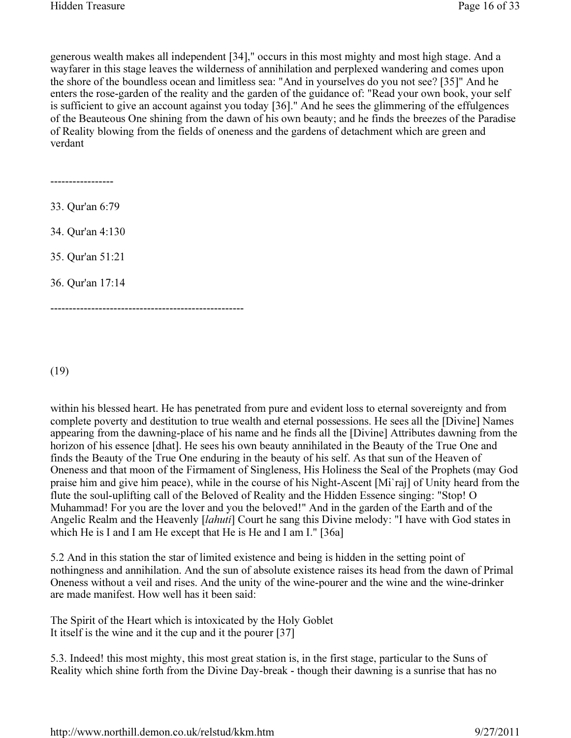generous wealth makes all independent [34]," occurs in this most mighty and most high stage. And a wayfarer in this stage leaves the wilderness of annihilation and perplexed wandering and comes upon the shore of the boundless ocean and limitless sea: "And in yourselves do you not see? [35]" And he enters the rose-garden of the reality and the garden of the guidance of: "Read your own book, your self is sufficient to give an account against you today [36]." And he sees the glimmering of the effulgences of the Beauteous One shining from the dawn of his own beauty; and he finds the breezes of the Paradise of Reality blowing from the fields of oneness and the gardens of detachment which are green and verdant

----------------- 33. Qur'an 6:79 34. Qur'an 4:130 35. Qur'an 51:21 36. Qur'an 17:14 ----------------------------------------------------

(19)

within his blessed heart. He has penetrated from pure and evident loss to eternal sovereignty and from complete poverty and destitution to true wealth and eternal possessions. He sees all the [Divine] Names appearing from the dawning-place of his name and he finds all the [Divine] Attributes dawning from the horizon of his essence [dhat]. He sees his own beauty annihilated in the Beauty of the True One and finds the Beauty of the True One enduring in the beauty of his self. As that sun of the Heaven of Oneness and that moon of the Firmament of Singleness, His Holiness the Seal of the Prophets (may God praise him and give him peace), while in the course of his Night-Ascent [Mi`raj] of Unity heard from the flute the soul-uplifting call of the Beloved of Reality and the Hidden Essence singing: "Stop! O Muhammad! For you are the lover and you the beloved!" And in the garden of the Earth and of the Angelic Realm and the Heavenly [lahuti] Court he sang this Divine melody: "I have with God states in which He is I and I am He except that He is He and I am I." [36a]

5.2 And in this station the star of limited existence and being is hidden in the setting point of nothingness and annihilation. And the sun of absolute existence raises its head from the dawn of Primal Oneness without a veil and rises. And the unity of the wine-pourer and the wine and the wine-drinker are made manifest. How well has it been said:

The Spirit of the Heart which is intoxicated by the Holy Goblet It itself is the wine and it the cup and it the pourer [37]

5.3. Indeed! this most mighty, this most great station is, in the first stage, particular to the Suns of Reality which shine forth from the Divine Day-break - though their dawning is a sunrise that has no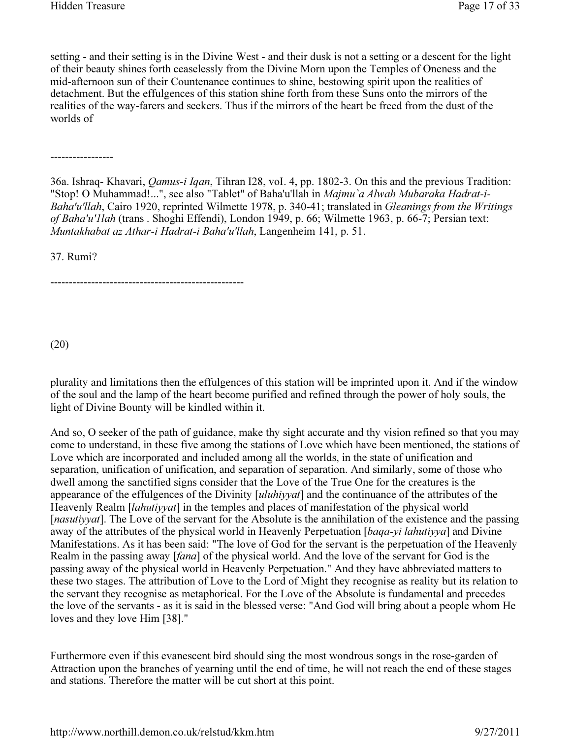setting - and their setting is in the Divine West - and their dusk is not a setting or a descent for the light of their beauty shines forth ceaselessly from the Divine Morn upon the Temples of Oneness and the mid-afternoon sun of their Countenance continues to shine, bestowing spirit upon the realities of detachment. But the effulgences of this station shine forth from these Suns onto the mirrors of the realities of the way-farers and seekers. Thus if the mirrors of the heart be freed from the dust of the worlds of

-----------------

36a. Ishraq- Khavari, Qamus-i Iqan, Tihran I28, voI. 4, pp. 1802-3. On this and the previous Tradition: "Stop! O Muhammad!...", see also "Tablet" of Baha'u'llah in Majmu`a Alwah Mubaraka Hadrat-i-Baha'u'llah, Cairo 1920, reprinted Wilmette 1978, p. 340-41; translated in Gleanings from the Writings of Baha'u'1lah (trans . Shoghi Effendi), London 1949, p. 66; Wilmette 1963, p. 66-7; Persian text: Muntakhabat az Athar-i Hadrat-i Baha'u'llah, Langenheim 141, p. 51.

37. Rumi?

----------------------------------------------------

(20)

plurality and limitations then the effulgences of this station will be imprinted upon it. And if the window of the soul and the lamp of the heart become purified and refined through the power of holy souls, the light of Divine Bounty will be kindled within it.

And so, O seeker of the path of guidance, make thy sight accurate and thy vision refined so that you may come to understand, in these five among the stations of Love which have been mentioned, the stations of Love which are incorporated and included among all the worlds, in the state of unification and separation, unification of unification, and separation of separation. And similarly, some of those who dwell among the sanctified signs consider that the Love of the True One for the creatures is the appearance of the effulgences of the Divinity [*uluhiyyat*] and the continuance of the attributes of the Heavenly Realm [*lahutiyyat*] in the temples and places of manifestation of the physical world [*nasutiyyat*]. The Love of the servant for the Absolute is the annihilation of the existence and the passing away of the attributes of the physical world in Heavenly Perpetuation [baqa-yi lahutiyya] and Divine Manifestations. As it has been said: "The love of God for the servant is the perpetuation of the Heavenly Realm in the passing away [*fana*] of the physical world. And the love of the servant for God is the passing away of the physical world in Heavenly Perpetuation." And they have abbreviated matters to these two stages. The attribution of Love to the Lord of Might they recognise as reality but its relation to the servant they recognise as metaphorical. For the Love of the Absolute is fundamental and precedes the love of the servants - as it is said in the blessed verse: "And God will bring about a people whom He loves and they love Him [38]."

Furthermore even if this evanescent bird should sing the most wondrous songs in the rose-garden of Attraction upon the branches of yearning until the end of time, he will not reach the end of these stages and stations. Therefore the matter will be cut short at this point.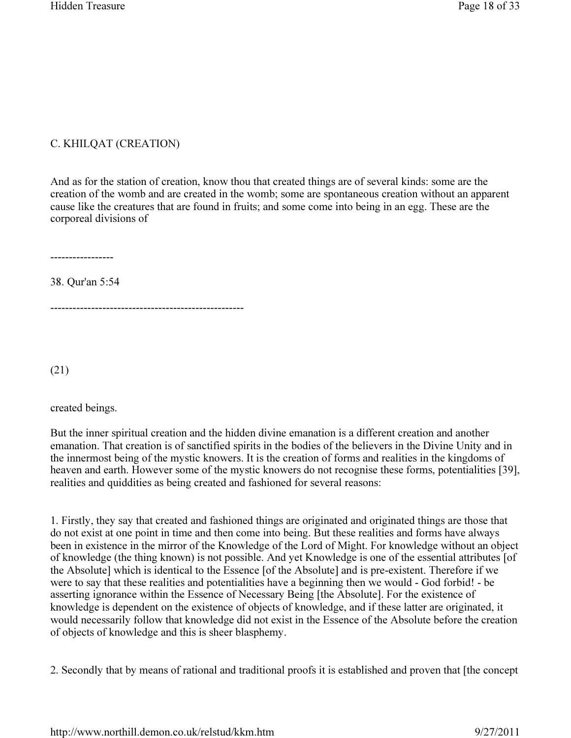## C. KHILQAT (CREATION)

And as for the station of creation, know thou that created things are of several kinds: some are the creation of the womb and are created in the womb; some are spontaneous creation without an apparent cause like the creatures that are found in fruits; and some come into being in an egg. These are the corporeal divisions of

-----------------

38. Qur'an 5:54

----------------------------------------------------

(21)

created beings.

But the inner spiritual creation and the hidden divine emanation is a different creation and another emanation. That creation is of sanctified spirits in the bodies of the believers in the Divine Unity and in the innermost being of the mystic knowers. It is the creation of forms and realities in the kingdoms of heaven and earth. However some of the mystic knowers do not recognise these forms, potentialities [39], realities and quiddities as being created and fashioned for several reasons:

1. Firstly, they say that created and fashioned things are originated and originated things are those that do not exist at one point in time and then come into being. But these realities and forms have always been in existence in the mirror of the Knowledge of the Lord of Might. For knowledge without an object of knowledge (the thing known) is not possible. And yet Knowledge is one of the essential attributes [of the Absolute] which is identical to the Essence [of the Absolute] and is pre-existent. Therefore if we were to say that these realities and potentialities have a beginning then we would - God forbid! - be asserting ignorance within the Essence of Necessary Being [the Absolute]. For the existence of knowledge is dependent on the existence of objects of knowledge, and if these latter are originated, it would necessarily follow that knowledge did not exist in the Essence of the Absolute before the creation of objects of knowledge and this is sheer blasphemy.

2. Secondly that by means of rational and traditional proofs it is established and proven that [the concept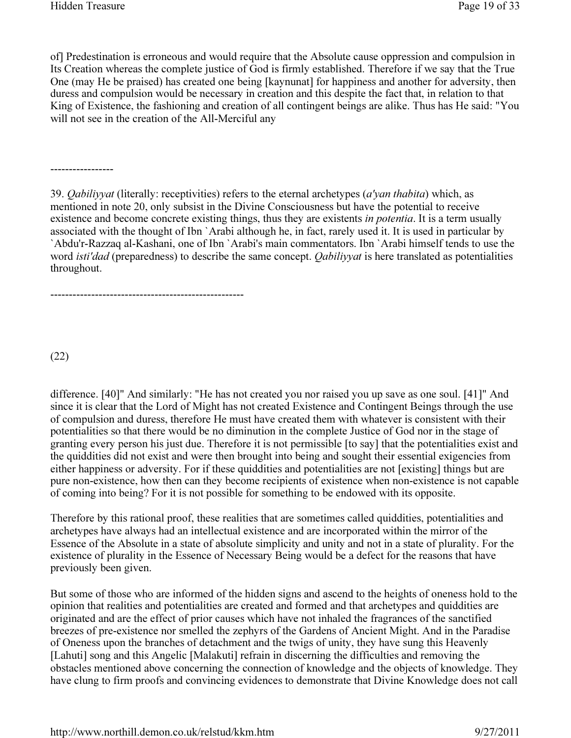of] Predestination is erroneous and would require that the Absolute cause oppression and compulsion in Its Creation whereas the complete justice of God is firmly established. Therefore if we say that the True One (may He be praised) has created one being [kaynunat] for happiness and another for adversity, then duress and compulsion would be necessary in creation and this despite the fact that, in relation to that King of Existence, the fashioning and creation of all contingent beings are alike. Thus has He said: "You will not see in the creation of the All-Merciful any

-----------------

39. Qabiliyyat (literally: receptivities) refers to the eternal archetypes (a'yan thabita) which, as mentioned in note 20, only subsist in the Divine Consciousness but have the potential to receive existence and become concrete existing things, thus they are existents in *potentia*. It is a term usually associated with the thought of Ibn `Arabi although he, in fact, rarely used it. It is used in particular by `Abdu'r-Razzaq al-Kashani, one of Ibn `Arabi's main commentators. Ibn `Arabi himself tends to use the word *isti'dad* (preparedness) to describe the same concept. *Qabiliyyat* is here translated as potentialities throughout.

----------------------------------------------------

(22)

difference. [40]" And similarly: "He has not created you nor raised you up save as one soul. [41]" And since it is clear that the Lord of Might has not created Existence and Contingent Beings through the use of compulsion and duress, therefore He must have created them with whatever is consistent with their potentialities so that there would be no diminution in the complete Justice of God nor in the stage of granting every person his just due. Therefore it is not permissible [to say] that the potentialities exist and the quiddities did not exist and were then brought into being and sought their essential exigencies from either happiness or adversity. For if these quiddities and potentialities are not [existing] things but are pure non-existence, how then can they become recipients of existence when non-existence is not capable of coming into being? For it is not possible for something to be endowed with its opposite.

Therefore by this rational proof, these realities that are sometimes called quiddities, potentialities and archetypes have always had an intellectual existence and are incorporated within the mirror of the Essence of the Absolute in a state of absolute simplicity and unity and not in a state of plurality. For the existence of plurality in the Essence of Necessary Being would be a defect for the reasons that have previously been given.

But some of those who are informed of the hidden signs and ascend to the heights of oneness hold to the opinion that realities and potentialities are created and formed and that archetypes and quiddities are originated and are the effect of prior causes which have not inhaled the fragrances of the sanctified breezes of pre-existence nor smelled the zephyrs of the Gardens of Ancient Might. And in the Paradise of Oneness upon the branches of detachment and the twigs of unity, they have sung this Heavenly [Lahuti] song and this Angelic [Malakuti] refrain in discerning the difficulties and removing the obstacles mentioned above concerning the connection of knowledge and the objects of knowledge. They have clung to firm proofs and convincing evidences to demonstrate that Divine Knowledge does not call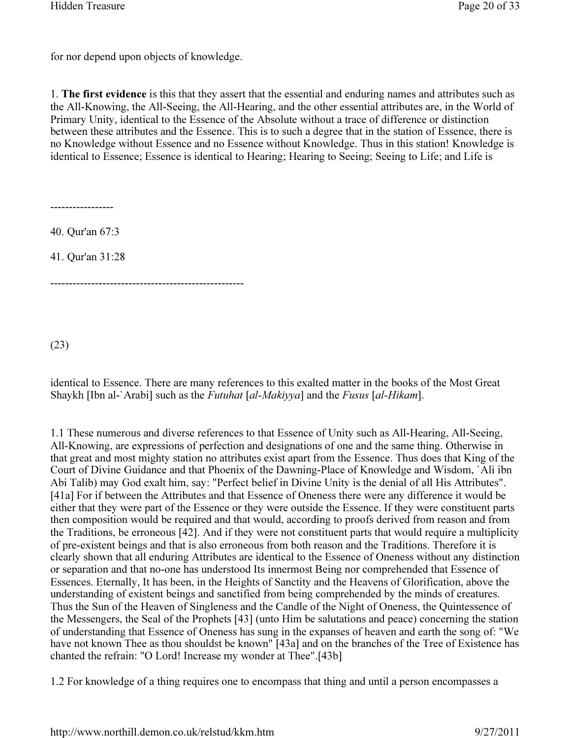for nor depend upon objects of knowledge.

1. The first evidence is this that they assert that the essential and enduring names and attributes such as the All-Knowing, the All-Seeing, the All-Hearing, and the other essential attributes are, in the World of Primary Unity, identical to the Essence of the Absolute without a trace of difference or distinction between these attributes and the Essence. This is to such a degree that in the station of Essence, there is no Knowledge without Essence and no Essence without Knowledge. Thus in this station! Knowledge is identical to Essence; Essence is identical to Hearing; Hearing to Seeing; Seeing to Life; and Life is

-----------------

40. Qur'an 67:3

41. Qur'an 31:28

----------------------------------------------------

(23)

identical to Essence. There are many references to this exalted matter in the books of the Most Great Shaykh [Ibn al-`Arabi] such as the *Futuhat* [al-Makiyya] and the *Fusus* [al-Hikam].

1.1 These numerous and diverse references to that Essence of Unity such as All-Hearing, All-Seeing, All-Knowing, are expressions of perfection and designations of one and the same thing. Otherwise in that great and most mighty station no attributes exist apart from the Essence. Thus does that King of the Court of Divine Guidance and that Phoenix of the Dawning-Place of Knowledge and Wisdom, `Ali ibn Abi Talib) may God exalt him, say: "Perfect belief in Divine Unity is the denial of all His Attributes". [41a] For if between the Attributes and that Essence of Oneness there were any difference it would be either that they were part of the Essence or they were outside the Essence. If they were constituent parts then composition would be required and that would, according to proofs derived from reason and from the Traditions, be erroneous [42]. And if they were not constituent parts that would require a multiplicity of pre-existent beings and that is also erroneous from both reason and the Traditions. Therefore it is clearly shown that all enduring Attributes are identical to the Essence of Oneness without any distinction or separation and that no-one has understood Its innermost Being nor comprehended that Essence of Essences. Eternally, It has been, in the Heights of Sanctity and the Heavens of Glorification, above the understanding of existent beings and sanctified from being comprehended by the minds of creatures. Thus the Sun of the Heaven of Singleness and the Candle of the Night of Oneness, the Quintessence of the Messengers, the Seal of the Prophets [43] (unto Him be salutations and peace) concerning the station of understanding that Essence of Oneness has sung in the expanses of heaven and earth the song of: "We have not known Thee as thou shouldst be known" [43a] and on the branches of the Tree of Existence has chanted the refrain: "O Lord! Increase my wonder at Thee".[43b]

1.2 For knowledge of a thing requires one to encompass that thing and until a person encompasses a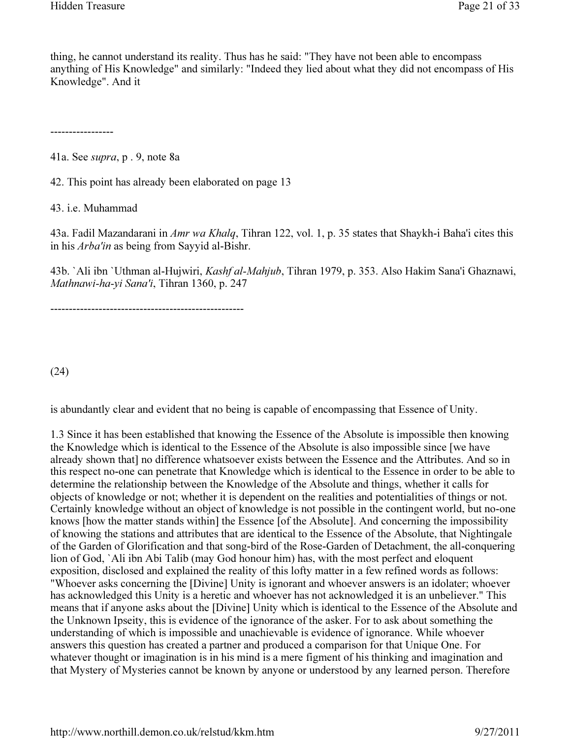thing, he cannot understand its reality. Thus has he said: "They have not been able to encompass anything of His Knowledge" and similarly: "Indeed they lied about what they did not encompass of His Knowledge". And it

-----------------

41a. See supra, p . 9, note 8a

42. This point has already been elaborated on page 13

43. i.e. Muhammad

43a. Fadil Mazandarani in Amr wa Khalq, Tihran 122, vol. 1, p. 35 states that Shaykh-i Baha'i cites this in his Arba'in as being from Sayyid al-Bishr.

43b. `Ali ibn `Uthman al-Hujwiri, Kashf al-Mahjub, Tihran 1979, p. 353. Also Hakim Sana'i Ghaznawi, Mathnawi-ha-yi Sana'i, Tihran 1360, p. 247

----------------------------------------------------

(24)

is abundantly clear and evident that no being is capable of encompassing that Essence of Unity.

1.3 Since it has been established that knowing the Essence of the Absolute is impossible then knowing the Knowledge which is identical to the Essence of the Absolute is also impossible since [we have already shown that] no difference whatsoever exists between the Essence and the Attributes. And so in this respect no-one can penetrate that Knowledge which is identical to the Essence in order to be able to determine the relationship between the Knowledge of the Absolute and things, whether it calls for objects of knowledge or not; whether it is dependent on the realities and potentialities of things or not. Certainly knowledge without an object of knowledge is not possible in the contingent world, but no-one knows [how the matter stands within] the Essence [of the Absolute]. And concerning the impossibility of knowing the stations and attributes that are identical to the Essence of the Absolute, that Nightingale of the Garden of Glorification and that song-bird of the Rose-Garden of Detachment, the all-conquering lion of God, `Ali ibn Abi Talib (may God honour him) has, with the most perfect and eloquent exposition, disclosed and explained the reality of this lofty matter in a few refined words as follows: "Whoever asks concerning the [Divine] Unity is ignorant and whoever answers is an idolater; whoever has acknowledged this Unity is a heretic and whoever has not acknowledged it is an unbeliever." This means that if anyone asks about the [Divine] Unity which is identical to the Essence of the Absolute and the Unknown Ipseity, this is evidence of the ignorance of the asker. For to ask about something the understanding of which is impossible and unachievable is evidence of ignorance. While whoever answers this question has created a partner and produced a comparison for that Unique One. For whatever thought or imagination is in his mind is a mere figment of his thinking and imagination and that Mystery of Mysteries cannot be known by anyone or understood by any learned person. Therefore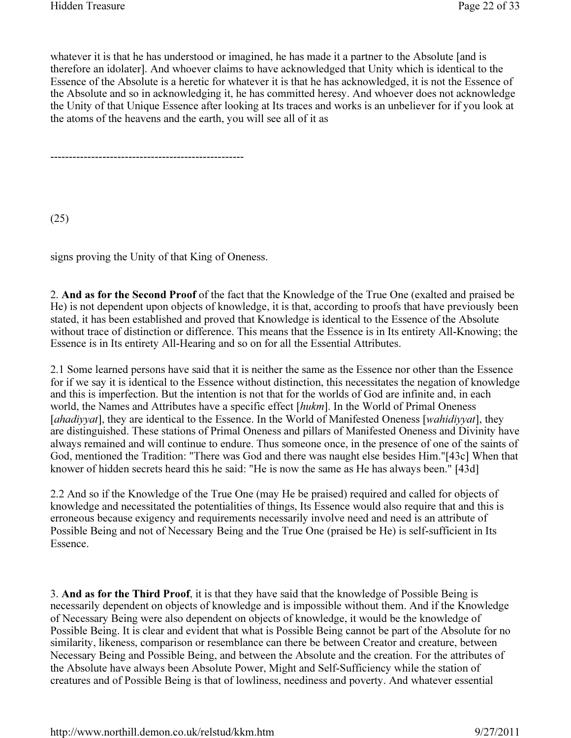whatever it is that he has understood or imagined, he has made it a partner to the Absolute [and is therefore an idolater]. And whoever claims to have acknowledged that Unity which is identical to the Essence of the Absolute is a heretic for whatever it is that he has acknowledged, it is not the Essence of the Absolute and so in acknowledging it, he has committed heresy. And whoever does not acknowledge the Unity of that Unique Essence after looking at Its traces and works is an unbeliever for if you look at the atoms of the heavens and the earth, you will see all of it as

----------------------------------------------------

(25)

signs proving the Unity of that King of Oneness.

2. And as for the Second Proof of the fact that the Knowledge of the True One (exalted and praised be He) is not dependent upon objects of knowledge, it is that, according to proofs that have previously been stated, it has been established and proved that Knowledge is identical to the Essence of the Absolute without trace of distinction or difference. This means that the Essence is in Its entirety All-Knowing; the Essence is in Its entirety All-Hearing and so on for all the Essential Attributes.

2.1 Some learned persons have said that it is neither the same as the Essence nor other than the Essence for if we say it is identical to the Essence without distinction, this necessitates the negation of knowledge and this is imperfection. But the intention is not that for the worlds of God are infinite and, in each world, the Names and Attributes have a specific effect [hukm]. In the World of Primal Oneness [ahadiyyat], they are identical to the Essence. In the World of Manifested Oneness [wahidiyyat], they are distinguished. These stations of Primal Oneness and pillars of Manifested Oneness and Divinity have always remained and will continue to endure. Thus someone once, in the presence of one of the saints of God, mentioned the Tradition: "There was God and there was naught else besides Him."[43c] When that knower of hidden secrets heard this he said: "He is now the same as He has always been." [43d]

2.2 And so if the Knowledge of the True One (may He be praised) required and called for objects of knowledge and necessitated the potentialities of things, Its Essence would also require that and this is erroneous because exigency and requirements necessarily involve need and need is an attribute of Possible Being and not of Necessary Being and the True One (praised be He) is self-sufficient in Its Essence.

3. And as for the Third Proof, it is that they have said that the knowledge of Possible Being is necessarily dependent on objects of knowledge and is impossible without them. And if the Knowledge of Necessary Being were also dependent on objects of knowledge, it would be the knowledge of Possible Being. It is clear and evident that what is Possible Being cannot be part of the Absolute for no similarity, likeness, comparison or resemblance can there be between Creator and creature, between Necessary Being and Possible Being, and between the Absolute and the creation. For the attributes of the Absolute have always been Absolute Power, Might and Self-Sufficiency while the station of creatures and of Possible Being is that of lowliness, neediness and poverty. And whatever essential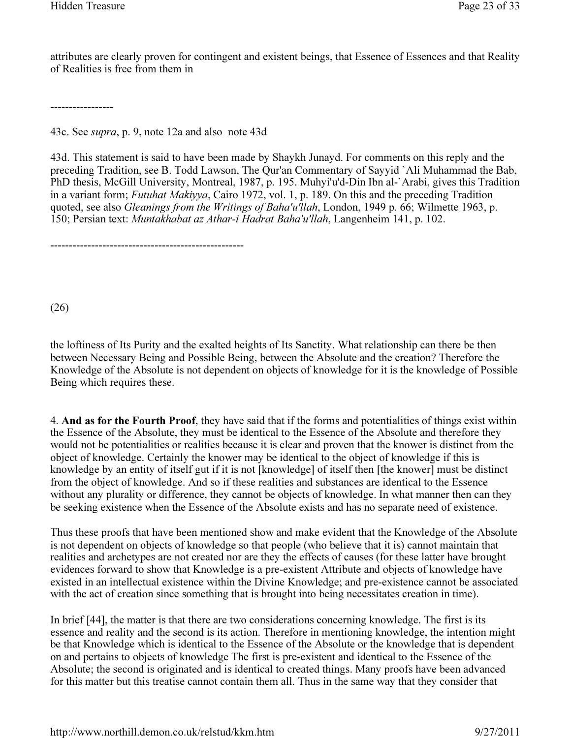attributes are clearly proven for contingent and existent beings, that Essence of Essences and that Reality of Realities is free from them in

-----------------

43c. See supra, p. 9, note 12a and also note 43d

----------------------------------------------------

43d. This statement is said to have been made by Shaykh Junayd. For comments on this reply and the preceding Tradition, see B. Todd Lawson, The Qur'an Commentary of Sayyid `Ali Muhammad the Bab, PhD thesis, McGill University, Montreal, 1987, p. 195. Muhyi'u'd-Din Ibn al-`Arabi, gives this Tradition in a variant form; Futuhat Makiyya, Cairo 1972, vol. 1, p. 189. On this and the preceding Tradition quoted, see also Gleanings from the Writings of Baha'u'llah, London, 1949 p. 66; Wilmette 1963, p. 150; Persian text: Muntakhabat az Athar-i Hadrat Baha'u'llah, Langenheim 141, p. 102.

(26)

the loftiness of Its Purity and the exalted heights of Its Sanctity. What relationship can there be then between Necessary Being and Possible Being, between the Absolute and the creation? Therefore the Knowledge of the Absolute is not dependent on objects of knowledge for it is the knowledge of Possible Being which requires these.

4. And as for the Fourth Proof, they have said that if the forms and potentialities of things exist within the Essence of the Absolute, they must be identical to the Essence of the Absolute and therefore they would not be potentialities or realities because it is clear and proven that the knower is distinct from the object of knowledge. Certainly the knower may be identical to the object of knowledge if this is knowledge by an entity of itself gut if it is not [knowledge] of itself then [the knower] must be distinct from the object of knowledge. And so if these realities and substances are identical to the Essence without any plurality or difference, they cannot be objects of knowledge. In what manner then can they be seeking existence when the Essence of the Absolute exists and has no separate need of existence.

Thus these proofs that have been mentioned show and make evident that the Knowledge of the Absolute is not dependent on objects of knowledge so that people (who believe that it is) cannot maintain that realities and archetypes are not created nor are they the effects of causes (for these latter have brought evidences forward to show that Knowledge is a pre-existent Attribute and objects of knowledge have existed in an intellectual existence within the Divine Knowledge; and pre-existence cannot be associated with the act of creation since something that is brought into being necessitates creation in time).

In brief [44], the matter is that there are two considerations concerning knowledge. The first is its essence and reality and the second is its action. Therefore in mentioning knowledge, the intention might be that Knowledge which is identical to the Essence of the Absolute or the knowledge that is dependent on and pertains to objects of knowledge The first is pre-existent and identical to the Essence of the Absolute; the second is originated and is identical to created things. Many proofs have been advanced for this matter but this treatise cannot contain them all. Thus in the same way that they consider that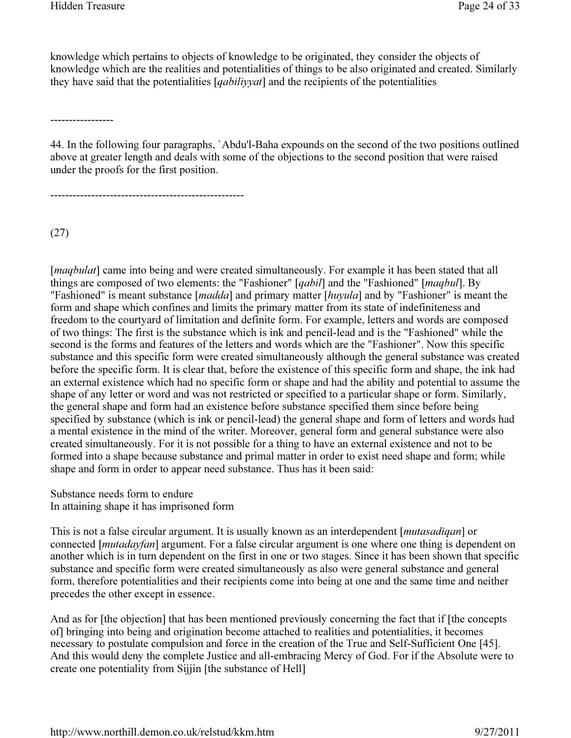knowledge which pertains to objects of knowledge to be originated, they consider the objects of knowledge which are the realities and potentialities of things to be also originated and created. Similarly they have said that the potentialities [*qabiliyyat*] and the recipients of the potentialities

-----------------

44. In the following four paragraphs, `Abdu'l-Baha expounds on the second of the two positions outlined above at greater length and deals with some of the objections to the second position that were raised under the proofs for the first position.

----------------------------------------------------

(27)

[*maqbulat*] came into being and were created simultaneously. For example it has been stated that all things are composed of two elements: the "Fashioner" [qabil] and the "Fashioned" [maqbul]. By "Fashioned" is meant substance [madda] and primary matter [huyula] and by "Fashioner" is meant the form and shape which confines and limits the primary matter from its state of indefiniteness and freedom to the courtyard of limitation and definite form. For example, letters and words are composed of two things: The first is the substance which is ink and pencil-lead and is the "Fashioned" while the second is the forms and features of the letters and words which are the "Fashioner". Now this specific substance and this specific form were created simultaneously although the general substance was created before the specific form. It is clear that, before the existence of this specific form and shape, the ink had an external existence which had no specific form or shape and had the ability and potential to assume the shape of any letter or word and was not restricted or specified to a particular shape or form. Similarly, the general shape and form had an existence before substance specified them since before being specified by substance (which is ink or pencil-lead) the general shape and form of letters and words had a mental existence in the mind of the writer. Moreover, general form and general substance were also created simultaneously. For it is not possible for a thing to have an external existence and not to be formed into a shape because substance and primal matter in order to exist need shape and form; while shape and form in order to appear need substance. Thus has it been said:

Substance needs form to endure In attaining shape it has imprisoned form

This is not a false circular argument. It is usually known as an interdependent [*mutasadiqan*] or connected [*mutadayfan*] argument. For a false circular argument is one where one thing is dependent on another which is in turn dependent on the first in one or two stages. Since it has been shown that specific substance and specific form were created simultaneously as also were general substance and general form, therefore potentialities and their recipients come into being at one and the same time and neither precedes the other except in essence.

And as for [the objection] that has been mentioned previously concerning the fact that if [the concepts of] bringing into being and origination become attached to realities and potentialities, it becomes necessary to postulate compulsion and force in the creation of the True and Self-Sufficient One [45]. And this would deny the complete Justice and all-embracing Mercy of God. For if the Absolute were to create one potentiality from Sijjin [the substance of Hell]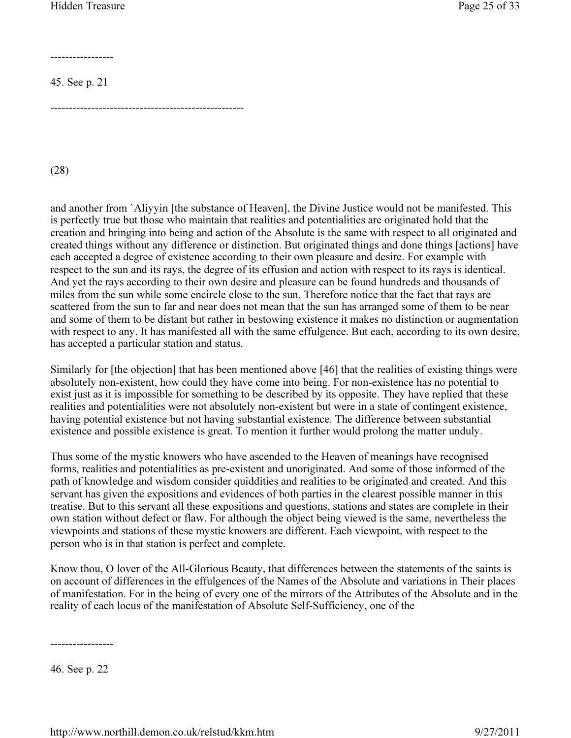-----------------

45. See p. 21

----------------------------------------------------

(28)

and another from `Aliyyin [the substance of Heaven], the Divine Justice would not be manifested. This is perfectly true but those who maintain that realities and potentialities are originated hold that the creation and bringing into being and action of the Absolute is the same with respect to all originated and created things without any difference or distinction. But originated things and done things [actions] have each accepted a degree of existence according to their own pleasure and desire. For example with respect to the sun and its rays, the degree of its effusion and action with respect to its rays is identical. And yet the rays according to their own desire and pleasure can be found hundreds and thousands of miles from the sun while some encircle close to the sun. Therefore notice that the fact that rays are scattered from the sun to far and near does not mean that the sun has arranged some of them to be near and some of them to be distant but rather in bestowing existence it makes no distinction or augmentation with respect to any. It has manifested all with the same effulgence. But each, according to its own desire, has accepted a particular station and status.

Similarly for [the objection] that has been mentioned above [46] that the realities of existing things were absolutely non-existent, how could they have come into being. For non-existence has no potential to exist just as it is impossible for something to be described by its opposite. They have replied that these realities and potentialities were not absolutely non-existent but were in a state of contingent existence, having potential existence but not having substantial existence. The difference between substantial existence and possible existence is great. To mention it further would prolong the matter unduly.

Thus some of the mystic knowers who have ascended to the Heaven of meanings have recognised forms, realities and potentialities as pre-existent and unoriginated. And some of those informed of the path of knowledge and wisdom consider quiddities and realities to be originated and created. And this servant has given the expositions and evidences of both parties in the clearest possible manner in this treatise. But to this servant all these expositions and questions, stations and states are complete in their own station without defect or flaw. For although the object being viewed is the same, nevertheless the viewpoints and stations of these mystic knowers are different. Each viewpoint, with respect to the person who is in that station is perfect and complete.

Know thou, O lover of the All-Glorious Beauty, that differences between the statements of the saints is on account of differences in the effulgences of the Names of the Absolute and variations in Their places of manifestation. For in the being of every one of the mirrors of the Attributes of the Absolute and in the reality of each locus of the manifestation of Absolute Self-Sufficiency, one of the

-----------------

46. See p. 22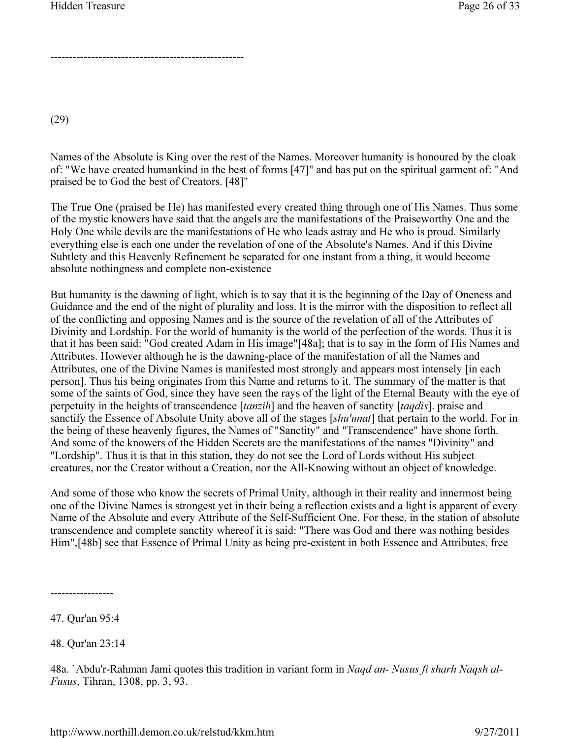----------------------------------------------------

(29)

Names of the Absolute is King over the rest of the Names. Moreover humanity is honoured by the cloak of: "We have created humankind in the best of forms [47]" and has put on the spiritual garment of: "And praised be to God the best of Creators. [48]"

The True One (praised be He) has manifested every created thing through one of His Names. Thus some of the mystic knowers have said that the angels are the manifestations of the Praiseworthy One and the Holy One while devils are the manifestations of He who leads astray and He who is proud. Similarly everything else is each one under the revelation of one of the Absolute's Names. And if this Divine Subtlety and this Heavenly Refinement be separated for one instant from a thing, it would become absolute nothingness and complete non-existence

But humanity is the dawning of light, which is to say that it is the beginning of the Day of Oneness and Guidance and the end of the night of plurality and loss. It is the mirror with the disposition to reflect all of the conflicting and opposing Names and is the source of the revelation of all of the Attributes of Divinity and Lordship. For the world of humanity is the world of the perfection of the words. Thus it is that it has been said: "God created Adam in His image"[48a]; that is to say in the form of His Names and Attributes. However although he is the dawning-place of the manifestation of all the Names and Attributes, one of the Divine Names is manifested most strongly and appears most intensely [in each person]. Thus his being originates from this Name and returns to it. The summary of the matter is that some of the saints of God, since they have seen the rays of the light of the Eternal Beauty with the eye of perpetuity in the heights of transcendence [tanzih] and the heaven of sanctity [taqdis]. praise and sanctify the Essence of Absolute Unity above all of the stages [shu'unat] that pertain to the world. For in the being of these heavenly figures, the Names of "Sanctity" and "Transcendence" have shone forth. And some of the knowers of the Hidden Secrets are the manifestations of the names "Divinity" and "Lordship". Thus it is that in this station, they do not see the Lord of Lords without His subject creatures, nor the Creator without a Creation, nor the All-Knowing without an object of knowledge.

And some of those who know the secrets of Primal Unity, although in their reality and innermost being one of the Divine Names is strongest yet in their being a reflection exists and a light is apparent of every Name of the Absolute and every Attribute of the Self-Sufficient One. For these, in the station of absolute transcendence and complete sanctity whereof it is said: "There was God and there was nothing besides Him",[48b] see that Essence of Primal Unity as being pre-existent in both Essence and Attributes, free

47. Qur'an 95:4

-----------------

48. Qur'an 23:14

48a. `Abdu'r-Rahman Jami quotes this tradition in variant form in Naqd an- Nusus fi sharh Naqsh al-Fusus, Tihran, 1308, pp. 3, 93.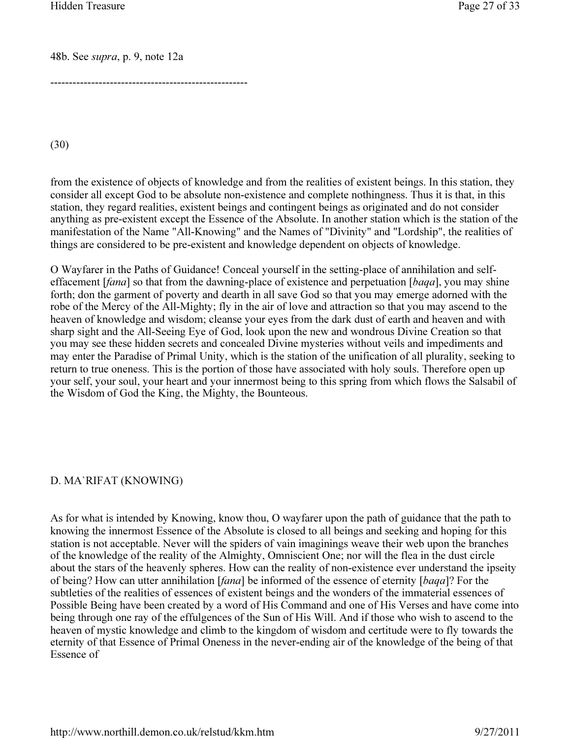48b. See supra, p. 9, note 12a

-----------------------------------------------------

(30)

from the existence of objects of knowledge and from the realities of existent beings. In this station, they consider all except God to be absolute non-existence and complete nothingness. Thus it is that, in this station, they regard realities, existent beings and contingent beings as originated and do not consider anything as pre-existent except the Essence of the Absolute. In another station which is the station of the manifestation of the Name "All-Knowing" and the Names of "Divinity" and "Lordship", the realities of things are considered to be pre-existent and knowledge dependent on objects of knowledge.

O Wayfarer in the Paths of Guidance! Conceal yourself in the setting-place of annihilation and selfeffacement [*fana*] so that from the dawning-place of existence and perpetuation [*baqa*], you may shine forth; don the garment of poverty and dearth in all save God so that you may emerge adorned with the robe of the Mercy of the All-Mighty; fly in the air of love and attraction so that you may ascend to the heaven of knowledge and wisdom; cleanse your eyes from the dark dust of earth and heaven and with sharp sight and the All-Seeing Eye of God, look upon the new and wondrous Divine Creation so that you may see these hidden secrets and concealed Divine mysteries without veils and impediments and may enter the Paradise of Primal Unity, which is the station of the unification of all plurality, seeking to return to true oneness. This is the portion of those have associated with holy souls. Therefore open up your self, your soul, your heart and your innermost being to this spring from which flows the Salsabil of the Wisdom of God the King, the Mighty, the Bounteous.

#### D. MA`RIFAT (KNOWING)

As for what is intended by Knowing, know thou, O wayfarer upon the path of guidance that the path to knowing the innermost Essence of the Absolute is closed to all beings and seeking and hoping for this station is not acceptable. Never will the spiders of vain imaginings weave their web upon the branches of the knowledge of the reality of the Almighty, Omniscient One; nor will the flea in the dust circle about the stars of the heavenly spheres. How can the reality of non-existence ever understand the ipseity of being? How can utter annihilation [fana] be informed of the essence of eternity [baqa]? For the subtleties of the realities of essences of existent beings and the wonders of the immaterial essences of Possible Being have been created by a word of His Command and one of His Verses and have come into being through one ray of the effulgences of the Sun of His Will. And if those who wish to ascend to the heaven of mystic knowledge and climb to the kingdom of wisdom and certitude were to fly towards the eternity of that Essence of Primal Oneness in the never-ending air of the knowledge of the being of that Essence of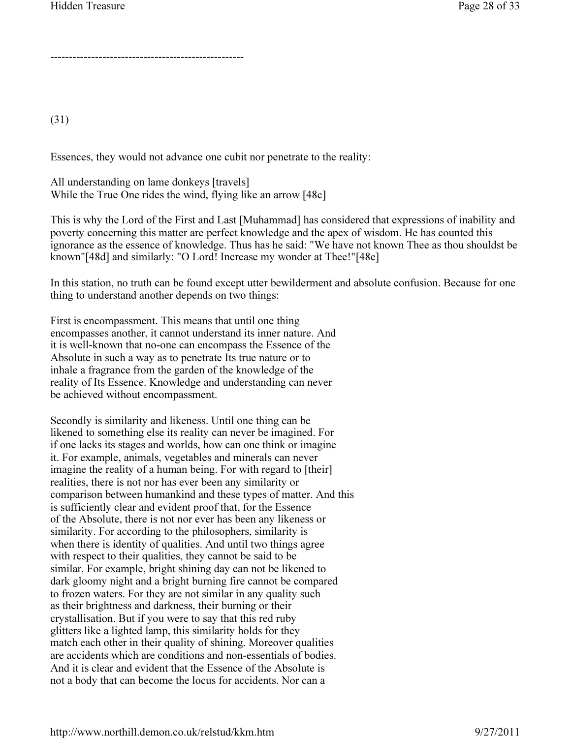----------------------------------------------------

(31)

Essences, they would not advance one cubit nor penetrate to the reality:

All understanding on lame donkeys [travels] While the True One rides the wind, flying like an arrow [48c]

This is why the Lord of the First and Last [Muhammad] has considered that expressions of inability and poverty concerning this matter are perfect knowledge and the apex of wisdom. He has counted this ignorance as the essence of knowledge. Thus has he said: "We have not known Thee as thou shouldst be known"[48d] and similarly: "O Lord! Increase my wonder at Thee!"[48e]

In this station, no truth can be found except utter bewilderment and absolute confusion. Because for one thing to understand another depends on two things:

First is encompassment. This means that until one thing encompasses another, it cannot understand its inner nature. And it is well-known that no-one can encompass the Essence of the Absolute in such a way as to penetrate Its true nature or to inhale a fragrance from the garden of the knowledge of the reality of Its Essence. Knowledge and understanding can never be achieved without encompassment.

Secondly is similarity and likeness. Until one thing can be likened to something else its reality can never be imagined. For if one lacks its stages and worlds, how can one think or imagine it. For example, animals, vegetables and minerals can never imagine the reality of a human being. For with regard to [their] realities, there is not nor has ever been any similarity or comparison between humankind and these types of matter. And this is sufficiently clear and evident proof that, for the Essence of the Absolute, there is not nor ever has been any likeness or similarity. For according to the philosophers, similarity is when there is identity of qualities. And until two things agree with respect to their qualities, they cannot be said to be similar. For example, bright shining day can not be likened to dark gloomy night and a bright burning fire cannot be compared to frozen waters. For they are not similar in any quality such as their brightness and darkness, their burning or their crystallisation. But if you were to say that this red ruby glitters like a lighted lamp, this similarity holds for they match each other in their quality of shining. Moreover qualities are accidents which are conditions and non-essentials of bodies. And it is clear and evident that the Essence of the Absolute is not a body that can become the locus for accidents. Nor can a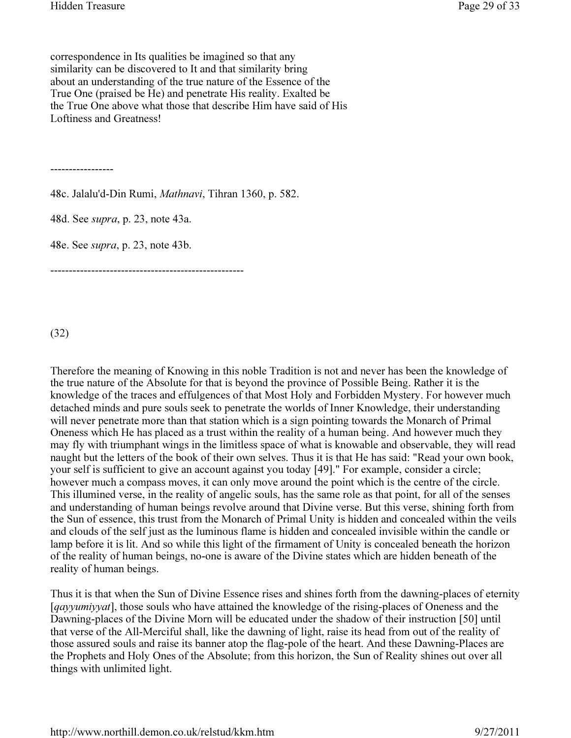correspondence in Its qualities be imagined so that any similarity can be discovered to It and that similarity bring about an understanding of the true nature of the Essence of the True One (praised be He) and penetrate His reality. Exalted be the True One above what those that describe Him have said of His Loftiness and Greatness!

-----------------

48c. Jalalu'd-Din Rumi, Mathnavi, Tihran 1360, p. 582.

48d. See supra, p. 23, note 43a.

48e. See supra, p. 23, note 43b.

----------------------------------------------------

(32)

Therefore the meaning of Knowing in this noble Tradition is not and never has been the knowledge of the true nature of the Absolute for that is beyond the province of Possible Being. Rather it is the knowledge of the traces and effulgences of that Most Holy and Forbidden Mystery. For however much detached minds and pure souls seek to penetrate the worlds of Inner Knowledge, their understanding will never penetrate more than that station which is a sign pointing towards the Monarch of Primal Oneness which He has placed as a trust within the reality of a human being. And however much they may fly with triumphant wings in the limitless space of what is knowable and observable, they will read naught but the letters of the book of their own selves. Thus it is that He has said: "Read your own book, your self is sufficient to give an account against you today [49]." For example, consider a circle; however much a compass moves, it can only move around the point which is the centre of the circle. This illumined verse, in the reality of angelic souls, has the same role as that point, for all of the senses and understanding of human beings revolve around that Divine verse. But this verse, shining forth from the Sun of essence, this trust from the Monarch of Primal Unity is hidden and concealed within the veils and clouds of the self just as the luminous flame is hidden and concealed invisible within the candle or lamp before it is lit. And so while this light of the firmament of Unity is concealed beneath the horizon of the reality of human beings, no-one is aware of the Divine states which are hidden beneath of the reality of human beings.

Thus it is that when the Sun of Divine Essence rises and shines forth from the dawning-places of eternity [*qayyumiyyat*], those souls who have attained the knowledge of the rising-places of Oneness and the Dawning-places of the Divine Morn will be educated under the shadow of their instruction [50] until that verse of the All-Merciful shall, like the dawning of light, raise its head from out of the reality of those assured souls and raise its banner atop the flag-pole of the heart. And these Dawning-Places are the Prophets and Holy Ones of the Absolute; from this horizon, the Sun of Reality shines out over all things with unlimited light.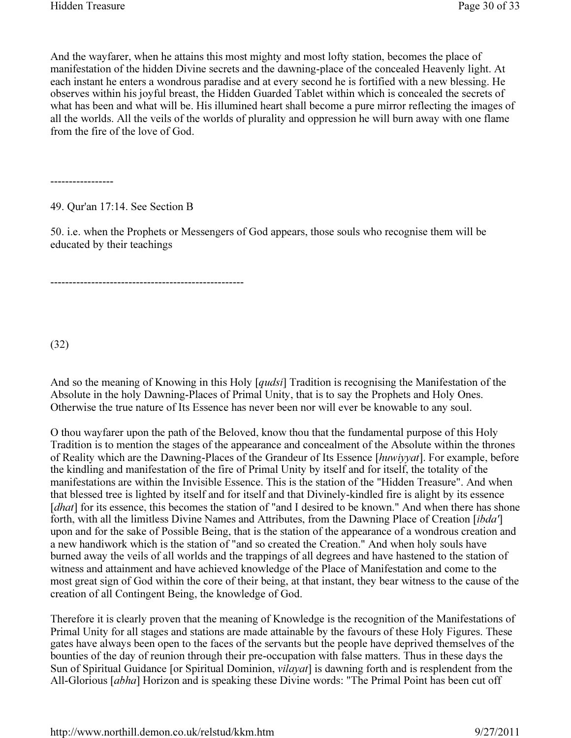And the wayfarer, when he attains this most mighty and most lofty station, becomes the place of manifestation of the hidden Divine secrets and the dawning-place of the concealed Heavenly light. At each instant he enters a wondrous paradise and at every second he is fortified with a new blessing. He observes within his joyful breast, the Hidden Guarded Tablet within which is concealed the secrets of what has been and what will be. His illumined heart shall become a pure mirror reflecting the images of all the worlds. All the veils of the worlds of plurality and oppression he will burn away with one flame from the fire of the love of God.

-----------------

49. Qur'an 17:14. See Section B

50. i.e. when the Prophets or Messengers of God appears, those souls who recognise them will be educated by their teachings

----------------------------------------------------

(32)

And so the meaning of Knowing in this Holy [*qudsi*] Tradition is recognising the Manifestation of the Absolute in the holy Dawning-Places of Primal Unity, that is to say the Prophets and Holy Ones. Otherwise the true nature of Its Essence has never been nor will ever be knowable to any soul.

O thou wayfarer upon the path of the Beloved, know thou that the fundamental purpose of this Holy Tradition is to mention the stages of the appearance and concealment of the Absolute within the thrones of Reality which are the Dawning-Places of the Grandeur of Its Essence [huwiyyat]. For example, before the kindling and manifestation of the fire of Primal Unity by itself and for itself, the totality of the manifestations are within the Invisible Essence. This is the station of the "Hidden Treasure". And when that blessed tree is lighted by itself and for itself and that Divinely-kindled fire is alight by its essence [dhat] for its essence, this becomes the station of "and I desired to be known." And when there has shone forth, with all the limitless Divine Names and Attributes, from the Dawning Place of Creation [ibda'] upon and for the sake of Possible Being, that is the station of the appearance of a wondrous creation and a new handiwork which is the station of "and so created the Creation." And when holy souls have burned away the veils of all worlds and the trappings of all degrees and have hastened to the station of witness and attainment and have achieved knowledge of the Place of Manifestation and come to the most great sign of God within the core of their being, at that instant, they bear witness to the cause of the creation of all Contingent Being, the knowledge of God.

Therefore it is clearly proven that the meaning of Knowledge is the recognition of the Manifestations of Primal Unity for all stages and stations are made attainable by the favours of these Holy Figures. These gates have always been open to the faces of the servants but the people have deprived themselves of the bounties of the day of reunion through their pre-occupation with false matters. Thus in these days the Sun of Spiritual Guidance [or Spiritual Dominion, *vilayat*] is dawning forth and is resplendent from the All-Glorious [abha] Horizon and is speaking these Divine words: "The Primal Point has been cut off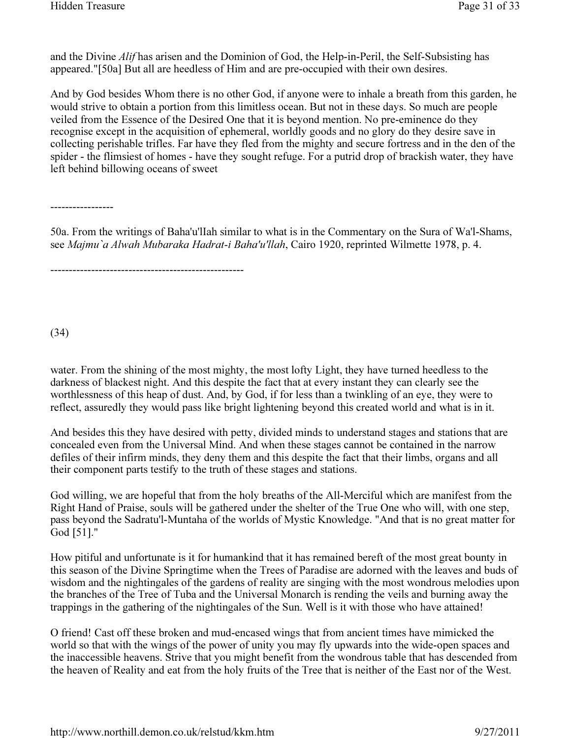and the Divine Alif has arisen and the Dominion of God, the Help-in-Peril, the Self-Subsisting has appeared."[50a] But all are heedless of Him and are pre-occupied with their own desires.

And by God besides Whom there is no other God, if anyone were to inhale a breath from this garden, he would strive to obtain a portion from this limitless ocean. But not in these days. So much are people veiled from the Essence of the Desired One that it is beyond mention. No pre-eminence do they recognise except in the acquisition of ephemeral, worldly goods and no glory do they desire save in collecting perishable trifles. Far have they fled from the mighty and secure fortress and in the den of the spider - the flimsiest of homes - have they sought refuge. For a putrid drop of brackish water, they have left behind billowing oceans of sweet

-----------------

50a. From the writings of Baha'u'lIah similar to what is in the Commentary on the Sura of Wa'l-Shams, see Majmu`a Alwah Mubaraka Hadrat-i Baha'u'llah, Cairo 1920, reprinted Wilmette 1978, p. 4.

----------------------------------------------------

(34)

water. From the shining of the most mighty, the most lofty Light, they have turned heedless to the darkness of blackest night. And this despite the fact that at every instant they can clearly see the worthlessness of this heap of dust. And, by God, if for less than a twinkling of an eye, they were to reflect, assuredly they would pass like bright lightening beyond this created world and what is in it.

And besides this they have desired with petty, divided minds to understand stages and stations that are concealed even from the Universal Mind. And when these stages cannot be contained in the narrow defiles of their infirm minds, they deny them and this despite the fact that their limbs, organs and all their component parts testify to the truth of these stages and stations.

God willing, we are hopeful that from the holy breaths of the All-Merciful which are manifest from the Right Hand of Praise, souls will be gathered under the shelter of the True One who will, with one step, pass beyond the Sadratu'l-Muntaha of the worlds of Mystic Knowledge. "And that is no great matter for God [51]."

How pitiful and unfortunate is it for humankind that it has remained bereft of the most great bounty in this season of the Divine Springtime when the Trees of Paradise are adorned with the leaves and buds of wisdom and the nightingales of the gardens of reality are singing with the most wondrous melodies upon the branches of the Tree of Tuba and the Universal Monarch is rending the veils and burning away the trappings in the gathering of the nightingales of the Sun. Well is it with those who have attained!

O friend! Cast off these broken and mud-encased wings that from ancient times have mimicked the world so that with the wings of the power of unity you may fly upwards into the wide-open spaces and the inaccessible heavens. Strive that you might benefit from the wondrous table that has descended from the heaven of Reality and eat from the holy fruits of the Tree that is neither of the East nor of the West.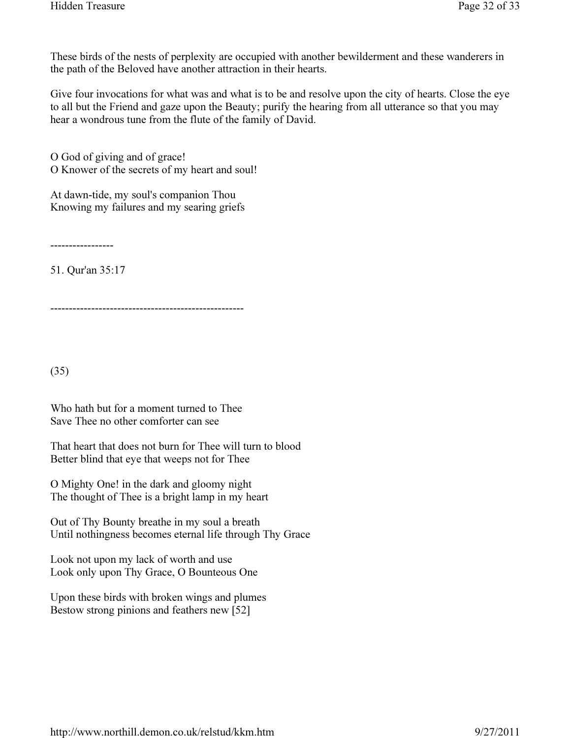These birds of the nests of perplexity are occupied with another bewilderment and these wanderers in the path of the Beloved have another attraction in their hearts.

Give four invocations for what was and what is to be and resolve upon the city of hearts. Close the eye to all but the Friend and gaze upon the Beauty; purify the hearing from all utterance so that you may hear a wondrous tune from the flute of the family of David.

O God of giving and of grace! O Knower of the secrets of my heart and soul!

At dawn-tide, my soul's companion Thou Knowing my failures and my searing griefs

-----------------

51. Qur'an 35:17

----------------------------------------------------

(35)

Who hath but for a moment turned to Thee Save Thee no other comforter can see

That heart that does not burn for Thee will turn to blood Better blind that eye that weeps not for Thee

O Mighty One! in the dark and gloomy night The thought of Thee is a bright lamp in my heart

Out of Thy Bounty breathe in my soul a breath Until nothingness becomes eternal life through Thy Grace

Look not upon my lack of worth and use Look only upon Thy Grace, O Bounteous One

Upon these birds with broken wings and plumes Bestow strong pinions and feathers new [52]